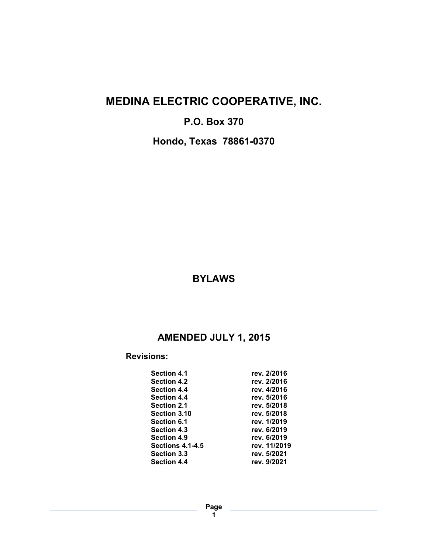# **MEDINA ELECTRIC COOPERATIVE, INC.**

## **P.O. Box 370**

**Hondo, Texas 78861-0370**

### **BYLAWS**

# **AMENDED JULY 1, 2015**

### **Revisions:**

| <b>Section 4.1</b>      | rev. 2/2016  |
|-------------------------|--------------|
| <b>Section 4.2</b>      | rev. 2/2016  |
| <b>Section 4.4</b>      | rev. 4/2016  |
| <b>Section 4.4</b>      | rev. 5/2016  |
| <b>Section 2.1</b>      | rev. 5/2018  |
| Section 3.10            | rev. 5/2018  |
| Section 6.1             | rev. 1/2019  |
| <b>Section 4.3</b>      | rev. 6/2019  |
| <b>Section 4.9</b>      | rev. 6/2019  |
| <b>Sections 4.1-4.5</b> | rev. 11/2019 |
| <b>Section 3.3</b>      | rev. 5/2021  |
| <b>Section 4.4</b>      | rev. 9/2021  |
|                         |              |

**Page 1**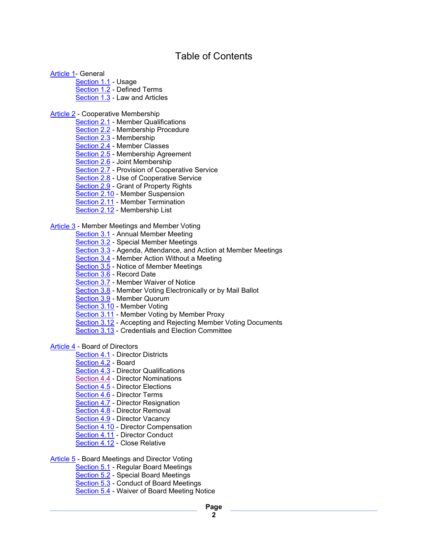### Table of Contents

Article 1- General

Section 1.1 - Usage Section 1.2 - Defined Terms Section 1.3 - Law and Articles

Article 2 - Cooperative Membership

Section 2.1 - Member Qualifications

- Section 2.2 Membership Procedure
- Section 2.3 Membership
- Section 2.4 Member Classes
- Section 2.5 Membership Agreement
- Section 2.6 Joint Membership
- Section 2.7 Provision of Cooperative Service
- Section 2.8 Use of Cooperative Service
- Section 2.9 Grant of Property Rights
- Section 2.10 Member Suspension
- Section 2.11 Member Termination
- Section 2.12 Membership List

Article 3 - Member Meetings and Member Voting

- Section 3.1 Annual Member Meeting
- Section 3.2 Special Member Meetings
- Section 3.3 Agenda, Attendance, and Action at Member Meetings
- Section 3.4 Member Action Without a Meeting
- Section 3.5 Notice of Member Meetings
- Section 3.6 Record Date
- Section 3.7 Member Waiver of Notice
- Section 3.8 Member Voting Electronically or by Mail Ballot
- Section 3.9 Member Quorum
- Section 3.10 Member Voting
- Section 3.11 Member Voting by Member Proxy
- Section 3.12 Accepting and Rejecting Member Voting Documents
- Section 3.13 Credentials and Election Committee

Article 4 - Board of Directors

- Section 4.1 Director Districts
- Section 4.2 Board
- Section 4.3 Director Qualifications
- Section 4.4 Director Nominations
- Section 4.5 Director Elections
- Section 4.6 Director Terms
- **Section 4.7 Director Resignation**
- Section 4.8 Director Removal
- Section 4.9 Director Vacancy
- Section 4.10 Director Compensation
- Section 4.11 Director Conduct
- Section 4.12 Close Relative

Article 5 - Board Meetings and Director Voting

- Section 5.1 Regular Board Meetings
- Section 5.2 Special Board Meetings
- Section 5.3 Conduct of Board Meetings
- Section 5.4 Waiver of Board Meeting Notice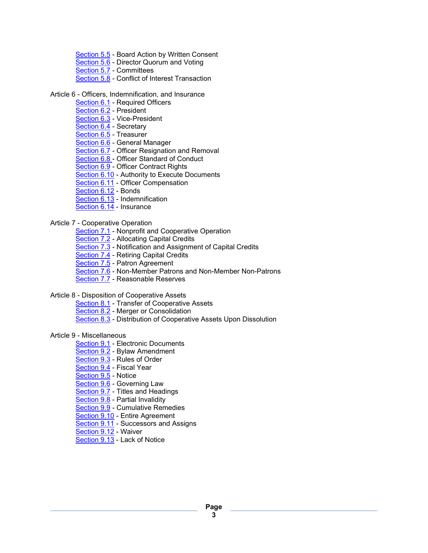- Section 5.5 Board Action by Written Consent
- Section 5.6 Director Quorum and Voting
- Section 5.7 Committees
- Section 5.8 Conflict of Interest Transaction

#### Article 6 - Officers, Indemnification, and Insurance

- Section 6.1 Required Officers
- Section 6.2 President
- Section 6.3 Vice-President
- Section 6.4 Secretary
- Section 6.5 Treasurer
- Section 6.6 General Manager
- Section 6.7 Officer Resignation and Removal
- Section 6.8 Officer Standard of Conduct
- Section 6.9 Officer Contract Rights
- Section 6.10 Authority to Execute Documents
- Section 6.11 Officer Compensation
- Section 6.12 Bonds
- Section 6.13 Indemnification
- Section 6.14 Insurance

#### Article 7 - Cooperative Operation

- Section 7.1 Nonprofit and Cooperative Operation
- Section 7.2 Allocating Capital Credits
- Section 7.3 Notification and Assignment of Capital Credits
- Section 7.4 Retiring Capital Credits
- Section 7.5 Patron Agreement
- Section 7.6 Non-Member Patrons and Non-Member Non-Patrons
- Section 7.7 Reasonable Reserves

#### Article 8 - Disposition of Cooperative Assets

- Section 8.1 Transfer of Cooperative Assets
- Section 8.2 Merger or Consolidation
- Section 8.3 Distribution of Cooperative Assets Upon Dissolution

#### Article 9 - Miscellaneous

- Section 9.1 Electronic Documents
- Section 9.2 Bylaw Amendment
- Section 9.3 Rules of Order
- Section 9.4 Fiscal Year
- Section 9.5 Notice
- Section 9.6 Governing Law
- Section 9.7 Titles and Headings
- Section 9.8 Partial Invalidity
- Section 9.9 Cumulative Remedies
- Section 9.10 Entire Agreement
- Section 9.11 Successors and Assigns
- Section 9.12 Waiver
- Section 9.13 Lack of Notice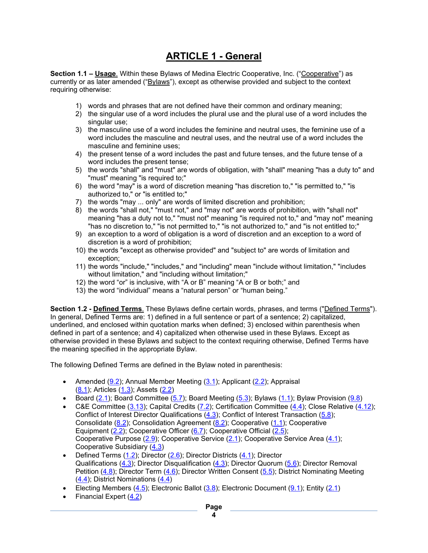## **ARTICLE 1 - General**

**Section 1.1 – Usage**. Within these Bylaws of Medina Electric Cooperative, Inc. ("Cooperative") as currently or as later amended ("Bylaws"), except as otherwise provided and subject to the context requiring otherwise:

- 1) words and phrases that are not defined have their common and ordinary meaning;
- 2) the singular use of a word includes the plural use and the plural use of a word includes the singular use:
- 3) the masculine use of a word includes the feminine and neutral uses, the feminine use of a word includes the masculine and neutral uses, and the neutral use of a word includes the masculine and feminine uses;
- 4) the present tense of a word includes the past and future tenses, and the future tense of a word includes the present tense;
- 5) the words "shall" and "must" are words of obligation, with "shall" meaning "has a duty to" and "must" meaning "is required to;"
- 6) the word "may" is a word of discretion meaning "has discretion to," "is permitted to," "is authorized to," or "is entitled to;"
- 7) the words "may ... only" are words of limited discretion and prohibition;
- 8) the words "shall not," "must not," and "may not" are words of prohibition, with "shall not" meaning "has a duty not to," "must not" meaning "is required not to," and "may not" meaning "has no discretion to," "is not permitted to," "is not authorized to," and "is not entitled to;"
- 9) an exception to a word of obligation is a word of discretion and an exception to a word of discretion is a word of prohibition;
- 10) the words "except as otherwise provided" and "subject to" are words of limitation and exception;
- 11) the words "include," "includes," and "including" mean "include without limitation," "includes without limitation," and "including without limitation;"
- 12) the word "or" is inclusive, with "A or B" meaning "A or B or both;" and
- 13) the word "individual" means a "natural person" or "human being."

**Section 1.2 - Defined Terms**. These Bylaws define certain words, phrases, and terms ("Defined Terms"). In general, Defined Terms are: 1) defined in a full sentence or part of a sentence; 2) capitalized, underlined, and enclosed within quotation marks when defined; 3) enclosed within parenthesis when defined in part of a sentence; and 4) capitalized when otherwise used in these Bylaws. Except as otherwise provided in these Bylaws and subject to the context requiring otherwise, Defined Terms have the meaning specified in the appropriate Bylaw.

The following Defined Terms are defined in the Bylaw noted in parenthesis:

- Amended  $(9.2)$ ; Annual Member Meeting  $(3.1)$ ; Applicant  $(2.2)$ ; Appraisal (8.1); Articles (1.3); Assets (2.2)
- Board  $(2.1)$ ; Board Committee  $(5.7)$ ; Board Meeting  $(5.3)$ ; Bylaws  $(1.1)$ ; Bylaw Provision  $(9.8)$
- C&E Committee  $(3.13)$ ; Capital Credits  $(7.2)$ ; Certification Committee  $(4.4)$ ; Close Relative  $(4.12)$ ; Conflict of Interest Director Qualifications (4.3); Conflict of Interest Transaction (5.8); Consolidate  $(8.2)$ ; Consolidation Agreement  $(8.2)$ ; Cooperative  $(1.1)$ ; Cooperative Equipment (2.2); Cooperative Officer (6.7); Cooperative Official (2.5); Cooperative Purpose  $(2.9)$ ; Cooperative Service  $(2.1)$ ; Cooperative Service Area  $(4.1)$ ; Cooperative Subsidiary (4.3)
- Defined Terms  $(1.2)$ ; Director  $(2.6)$ ; Director Districts  $(4.1)$ ; Director Qualifications (4.3); Director Disqualification (4.3); Director Quorum (5.6); Director Removal Petition (4.8); Director Term (4.6); Director Written Consent (5.5); District Nominating Meeting (4.4); District Nominations (4.4)
- Electing Members  $(4.5)$ ; Electronic Ballot  $(3.8)$ ; Electronic Document  $(9.1)$ ; Entity  $(2.1)$
- Financial Expert (4.2)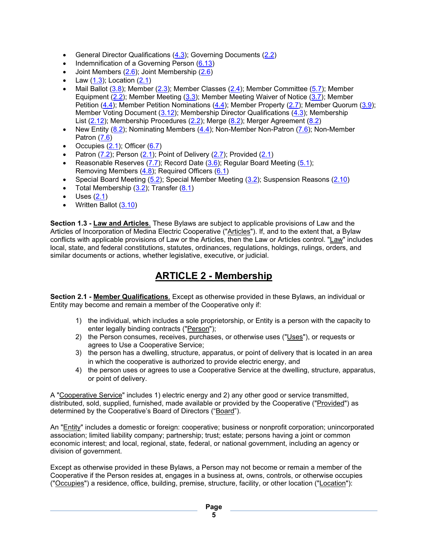- General Director Qualifications (4.3); Governing Documents (2.2)
- Indemnification of a Governing Person (6.13)
- Joint Members (2.6); Joint Membership (2.6)
- Law  $(1.3)$ ; Location  $(2.1)$
- Mail Ballot (3.8); Member (2.3); Member Classes (2.4); Member Committee (5.7); Member Equipment  $(2.2)$ ; Member Meeting  $(3.3)$ ; Member Meeting Waiver of Notice  $(3.7)$ ; Member Petition (4.4); Member Petition Nominations (4.4); Member Property (2.7); Member Quorum (3.9); Member Voting Document (3.12); Membership Director Qualifications (4.3); Membership List (2.12); Membership Procedures (2.2); Merge (8.2); Merger Agreement (8.2)
- New Entity  $(8.2)$ ; Nominating Members  $(4.4)$ ; Non-Member Non-Patron  $(7.6)$ ; Non-Member Patron (7.6)
- Occupies  $(2.1)$ ; Officer  $(6.7)$
- Patron  $(7.2)$ ; Person  $(2.1)$ ; Point of Delivery  $(2.7)$ ; Provided  $(2.1)$
- Reasonable Reserves  $(7.7)$ ; Record Date  $(3.6)$ ; Regular Board Meeting  $(5.1)$ ; Removing Members (4.8); Required Officers (6.1)
- Special Board Meeting (5.2); Special Member Meeting (3.2); Suspension Reasons (2.10)
- Total Membership  $(3.2)$ ; Transfer  $(8.1)$
- $\bullet$  Uses  $(2.1)$
- Written Ballot (3.10)

**Section 1.3 - Law and Articles**. These Bylaws are subject to applicable provisions of Law and the Articles of Incorporation of Medina Electric Cooperative ("Articles"). If, and to the extent that, a Bylaw conflicts with applicable provisions of Law or the Articles, then the Law or Articles control. "Law" includes local, state, and federal constitutions, statutes, ordinances, regulations, holdings, rulings, orders, and similar documents or actions, whether legislative, executive, or judicial.

# **ARTICLE 2 - Membership**

**Section 2.1 - Member Qualifications**. Except as otherwise provided in these Bylaws, an individual or Entity may become and remain a member of the Cooperative only if:

- 1) the individual, which includes a sole proprietorship, or Entity is a person with the capacity to enter legally binding contracts ("Person");
- 2) the Person consumes, receives, purchases, or otherwise uses ("Uses"), or requests or agrees to Use a Cooperative Service;
- 3) the person has a dwelling, structure, apparatus, or point of delivery that is located in an area in which the cooperative is authorized to provide electric energy, and
- 4) the person uses or agrees to use a Cooperative Service at the dwelling, structure, apparatus, or point of delivery.

A "Cooperative Service" includes 1) electric energy and 2) any other good or service transmitted, distributed, sold, supplied, furnished, made available or provided by the Cooperative ("Provided") as determined by the Cooperative's Board of Directors ("Board").

An "Entity" includes a domestic or foreign: cooperative; business or nonprofit corporation; unincorporated association; limited liability company; partnership; trust; estate; persons having a joint or common economic interest; and local, regional, state, federal, or national government, including an agency or division of government.

Except as otherwise provided in these Bylaws, a Person may not become or remain a member of the Cooperative if the Person resides at, engages in a business at, owns, controls, or otherwise occupies ("Occupies") a residence, office, building, premise, structure, facility, or other location ("Location"):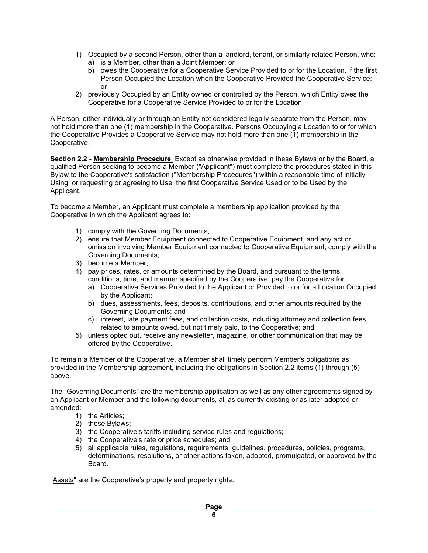- 1) Occupied by a second Person, other than a landlord, tenant, or similarly related Person, who: a) is a Member, other than a Joint Member; or
	- b) owes the Cooperative for a Cooperative Service Provided to or for the Location, if the first Person Occupied the Location when the Cooperative Provided the Cooperative Service; or
- 2) previously Occupied by an Entity owned or controlled by the Person, which Entity owes the Cooperative for a Cooperative Service Provided to or for the Location.

A Person, either individually or through an Entity not considered legally separate from the Person, may not hold more than one (1) membership in the Cooperative. Persons Occupying a Location to or for which the Cooperative Provides a Cooperative Service may not hold more than one (1) membership in the Cooperative.

**Section 2.2 - Membership Procedure**. Except as otherwise provided in these Bylaws or by the Board, a qualified Person seeking to become a Member ("Applicant") must complete the procedures stated in this Bylaw to the Cooperative's satisfaction ("Membership Procedures") within a reasonable time of initially Using, or requesting or agreeing to Use, the first Cooperative Service Used or to be Used by the Applicant.

To become a Member, an Applicant must complete a membership application provided by the Cooperative in which the Applicant agrees to:

- 1) comply with the Governing Documents;
- 2) ensure that Member Equipment connected to Cooperative Equipment, and any act or omission involving Member Equipment connected to Cooperative Equipment, comply with the Governing Documents;
- 3) become a Member;
- 4) pay prices, rates, or amounts determined by the Board, and pursuant to the terms, conditions, time, and manner specified by the Cooperative, pay the Cooperative for
	- a) Cooperative Services Provided to the Applicant or Provided to or for a Location Occupied by the Applicant;
	- b) dues, assessments, fees, deposits, contributions, and other amounts required by the Governing Documents; and
	- c) interest, late payment fees, and collection costs, including attorney and collection fees, related to amounts owed, but not timely paid, to the Cooperative; and
- 5) unless opted out, receive any newsletter, magazine, or other communication that may be offered by the Cooperative.

To remain a Member of the Cooperative, a Member shall timely perform Member's obligations as provided in the Membership agreement, including the obligations in Section 2.2 items (1) through (5) above.

The "Governing Documents" are the membership application as well as any other agreements signed by an Applicant or Member and the following documents, all as currently existing or as later adopted or amended:

- 1) the Articles;
- 2) these Bylaws;
- 3) the Cooperative's tariffs including service rules and regulations;
- 4) the Cooperative's rate or price schedules; and
- 5) all applicable rules, regulations, requirements, guidelines, procedures, policies, programs, determinations, resolutions, or other actions taken, adopted, promulgated, or approved by the Board.

"Assets" are the Cooperative's property and property rights.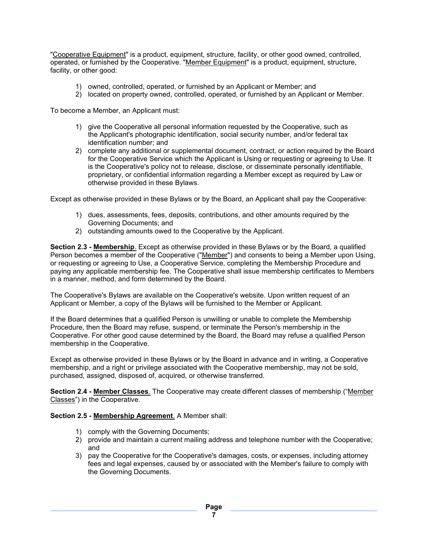"Cooperative Equipment" is a product, equipment, structure, facility, or other good owned, controlled, operated, or furnished by the Cooperative. "Member Equipment" is a product, equipment, structure, facility, or other good:

- 1) owned, controlled, operated, or furnished by an Applicant or Member; and
- 2) located on property owned, controlled, operated, or furnished by an Applicant or Member.

To become a Member, an Applicant must:

- 1) give the Cooperative all personal information requested by the Cooperative, such as the Applicant's photographic identification, social security number, and/or federal tax identification number; and
- 2) complete any additional or supplemental document, contract, or action required by the Board for the Cooperative Service which the Applicant is Using or requesting or agreeing to Use. It is the Cooperative's policy not to release, disclose, or disseminate personally identifiable, proprietary, or confidential information regarding a Member except as required by Law or otherwise provided in these Bylaws.

Except as otherwise provided in these Bylaws or by the Board, an Applicant shall pay the Cooperative:

- 1) dues, assessments, fees, deposits, contributions, and other amounts required by the Governing Documents; and
- 2) outstanding amounts owed to the Cooperative by the Applicant.

**Section 2.3 - Membership**. Except as otherwise provided in these Bylaws or by the Board, a qualified Person becomes a member of the Cooperative ("Member") and consents to being a Member upon Using, or requesting or agreeing to Use, a Cooperative Service, completing the Membership Procedure and paying any applicable membership fee. The Cooperative shall issue membership certificates to Members in a manner, method, and form determined by the Board.

The Cooperative's Bylaws are available on the Cooperative's website. Upon written request of an Applicant or Member, a copy of the Bylaws will be furnished to the Member or Applicant.

If the Board determines that a qualified Person is unwilling or unable to complete the Membership Procedure, then the Board may refuse, suspend, or terminate the Person's membership in the Cooperative. For other good cause determined by the Board, the Board may refuse a qualified Person membership in the Cooperative.

Except as otherwise provided in these Bylaws or by the Board in advance and in writing, a Cooperative membership, and a right or privilege associated with the Cooperative membership, may not be sold, purchased, assigned, disposed of, acquired, or otherwise transferred.

**Section 2.4 - Member Classes**. The Cooperative may create different classes of membership ("Member Classes") in the Cooperative.

**Section 2.5 - Membership Agreement**. A Member shall:

- 1) comply with the Governing Documents;
- 2) provide and maintain a current mailing address and telephone number with the Cooperative; and
- 3) pay the Cooperative for the Cooperative's damages, costs, or expenses, including attorney fees and legal expenses, caused by or associated with the Member's failure to comply with the Governing Documents.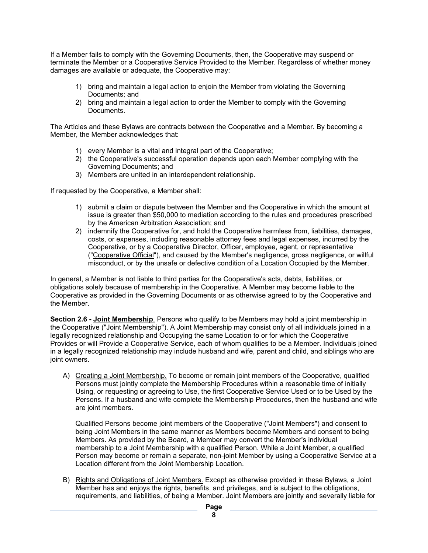If a Member fails to comply with the Governing Documents, then, the Cooperative may suspend or terminate the Member or a Cooperative Service Provided to the Member. Regardless of whether money damages are available or adequate, the Cooperative may:

- 1) bring and maintain a legal action to enjoin the Member from violating the Governing Documents; and
- 2) bring and maintain a legal action to order the Member to comply with the Governing Documents.

The Articles and these Bylaws are contracts between the Cooperative and a Member. By becoming a Member, the Member acknowledges that:

- 1) every Member is a vital and integral part of the Cooperative;
- 2) the Cooperative's successful operation depends upon each Member complying with the Governing Documents; and
- 3) Members are united in an interdependent relationship.

If requested by the Cooperative, a Member shall:

- 1) submit a claim or dispute between the Member and the Cooperative in which the amount at issue is greater than \$50,000 to mediation according to the rules and procedures prescribed by the American Arbitration Association; and
- 2) indemnify the Cooperative for, and hold the Cooperative harmless from, liabilities, damages, costs, or expenses, including reasonable attorney fees and legal expenses, incurred by the Cooperative, or by a Cooperative Director, Officer, employee, agent, or representative ("Cooperative Official"), and caused by the Member's negligence, gross negligence, or willful misconduct, or by the unsafe or defective condition of a Location Occupied by the Member.

In general, a Member is not liable to third parties for the Cooperative's acts, debts, liabilities, or obligations solely because of membership in the Cooperative. A Member may become liable to the Cooperative as provided in the Governing Documents or as otherwise agreed to by the Cooperative and the Member.

**Section 2.6 - Joint Membership**. Persons who qualify to be Members may hold a joint membership in the Cooperative ("Joint Membership"). A Joint Membership may consist only of all individuals joined in a legally recognized relationship and Occupying the same Location to or for which the Cooperative Provides or will Provide a Cooperative Service, each of whom qualifies to be a Member. Individuals joined in a legally recognized relationship may include husband and wife, parent and child, and siblings who are joint owners.

A) Creating a Joint Membership. To become or remain joint members of the Cooperative, qualified Persons must jointly complete the Membership Procedures within a reasonable time of initially Using, or requesting or agreeing to Use, the first Cooperative Service Used or to be Used by the Persons. If a husband and wife complete the Membership Procedures, then the husband and wife are joint members.

Qualified Persons become joint members of the Cooperative ("Joint Members") and consent to being Joint Members in the same manner as Members become Members and consent to being Members. As provided by the Board, a Member may convert the Member's individual membership to a Joint Membership with a qualified Person. While a Joint Member, a qualified Person may become or remain a separate, non-joint Member by using a Cooperative Service at a Location different from the Joint Membership Location.

B) Rights and Obligations of Joint Members. Except as otherwise provided in these Bylaws, a Joint Member has and enjoys the rights, benefits, and privileges, and is subject to the obligations, requirements, and liabilities, of being a Member. Joint Members are jointly and severally liable for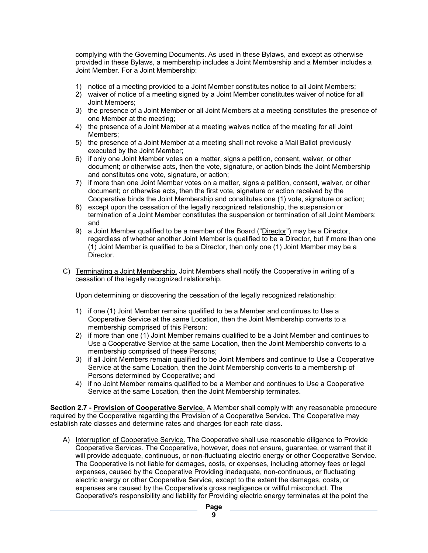complying with the Governing Documents. As used in these Bylaws, and except as otherwise provided in these Bylaws, a membership includes a Joint Membership and a Member includes a Joint Member. For a Joint Membership:

- 1) notice of a meeting provided to a Joint Member constitutes notice to all Joint Members;
- 2) waiver of notice of a meeting signed by a Joint Member constitutes waiver of notice for all Joint Members;
- 3) the presence of a Joint Member or all Joint Members at a meeting constitutes the presence of one Member at the meeting;
- 4) the presence of a Joint Member at a meeting waives notice of the meeting for all Joint Members;
- 5) the presence of a Joint Member at a meeting shall not revoke a Mail Ballot previously executed by the Joint Member;
- 6) if only one Joint Member votes on a matter, signs a petition, consent, waiver, or other document; or otherwise acts, then the vote, signature, or action binds the Joint Membership and constitutes one vote, signature, or action;
- 7) if more than one Joint Member votes on a matter, signs a petition, consent, waiver, or other document; or otherwise acts, then the first vote, signature or action received by the Cooperative binds the Joint Membership and constitutes one (1) vote, signature or action;
- 8) except upon the cessation of the legally recognized relationship, the suspension or termination of a Joint Member constitutes the suspension or termination of all Joint Members; and
- 9) a Joint Member qualified to be a member of the Board ("Director") may be a Director, regardless of whether another Joint Member is qualified to be a Director, but if more than one (1) Joint Member is qualified to be a Director, then only one (1) Joint Member may be a Director.
- C) Terminating a Joint Membership. Joint Members shall notify the Cooperative in writing of a cessation of the legally recognized relationship.

Upon determining or discovering the cessation of the legally recognized relationship:

- 1) if one (1) Joint Member remains qualified to be a Member and continues to Use a Cooperative Service at the same Location, then the Joint Membership converts to a membership comprised of this Person;
- 2) if more than one (1) Joint Member remains qualified to be a Joint Member and continues to Use a Cooperative Service at the same Location, then the Joint Membership converts to a membership comprised of these Persons;
- 3) if all Joint Members remain qualified to be Joint Members and continue to Use a Cooperative Service at the same Location, then the Joint Membership converts to a membership of Persons determined by Cooperative; and
- 4) if no Joint Member remains qualified to be a Member and continues to Use a Cooperative Service at the same Location, then the Joint Membership terminates.

**Section 2.7 - Provision of Cooperative Service**. A Member shall comply with any reasonable procedure required by the Cooperative regarding the Provision of a Cooperative Service. The Cooperative may establish rate classes and determine rates and charges for each rate class.

A) Interruption of Cooperative Service. The Cooperative shall use reasonable diligence to Provide Cooperative Services. The Cooperative, however, does not ensure, guarantee, or warrant that it will provide adequate, continuous, or non-fluctuating electric energy or other Cooperative Service. The Cooperative is not liable for damages, costs, or expenses, including attorney fees or legal expenses, caused by the Cooperative Providing inadequate, non-continuous, or fluctuating electric energy or other Cooperative Service, except to the extent the damages, costs, or expenses are caused by the Cooperative's gross negligence or willful misconduct. The Cooperative's responsibility and liability for Providing electric energy terminates at the point the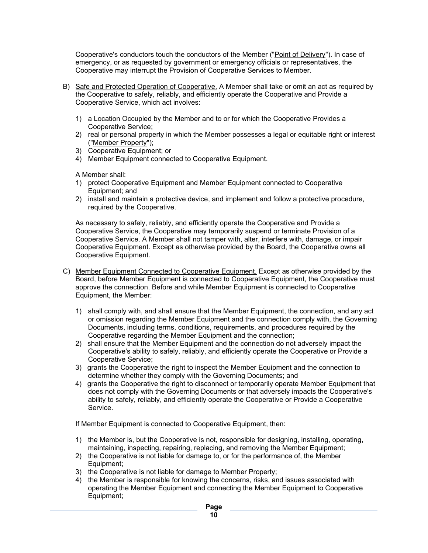Cooperative's conductors touch the conductors of the Member ("Point of Delivery"). In case of emergency, or as requested by government or emergency officials or representatives, the Cooperative may interrupt the Provision of Cooperative Services to Member.

- B) Safe and Protected Operation of Cooperative. A Member shall take or omit an act as required by the Cooperative to safely, reliably, and efficiently operate the Cooperative and Provide a Cooperative Service, which act involves:
	- 1) a Location Occupied by the Member and to or for which the Cooperative Provides a Cooperative Service;
	- 2) real or personal property in which the Member possesses a legal or equitable right or interest ("Member Property");
	- 3) Cooperative Equipment; or
	- 4) Member Equipment connected to Cooperative Equipment.

A Member shall:

- 1) protect Cooperative Equipment and Member Equipment connected to Cooperative Equipment; and
- 2) install and maintain a protective device, and implement and follow a protective procedure, required by the Cooperative.

As necessary to safely, reliably, and efficiently operate the Cooperative and Provide a Cooperative Service, the Cooperative may temporarily suspend or terminate Provision of a Cooperative Service. A Member shall not tamper with, alter, interfere with, damage, or impair Cooperative Equipment. Except as otherwise provided by the Board, the Cooperative owns all Cooperative Equipment.

- C) Member Equipment Connected to Cooperative Equipment. Except as otherwise provided by the Board, before Member Equipment is connected to Cooperative Equipment, the Cooperative must approve the connection. Before and while Member Equipment is connected to Cooperative Equipment, the Member:
	- 1) shall comply with, and shall ensure that the Member Equipment, the connection, and any act or omission regarding the Member Equipment and the connection comply with, the Governing Documents, including terms, conditions, requirements, and procedures required by the Cooperative regarding the Member Equipment and the connection;
	- 2) shall ensure that the Member Equipment and the connection do not adversely impact the Cooperative's ability to safely, reliably, and efficiently operate the Cooperative or Provide a Cooperative Service;
	- 3) grants the Cooperative the right to inspect the Member Equipment and the connection to determine whether they comply with the Governing Documents; and
	- 4) grants the Cooperative the right to disconnect or temporarily operate Member Equipment that does not comply with the Governing Documents or that adversely impacts the Cooperative's ability to safely, reliably, and efficiently operate the Cooperative or Provide a Cooperative Service.

If Member Equipment is connected to Cooperative Equipment, then:

- 1) the Member is, but the Cooperative is not, responsible for designing, installing, operating, maintaining, inspecting, repairing, replacing, and removing the Member Equipment;
- 2) the Cooperative is not liable for damage to, or for the performance of, the Member Equipment;
- 3) the Cooperative is not liable for damage to Member Property;
- 4) the Member is responsible for knowing the concerns, risks, and issues associated with operating the Member Equipment and connecting the Member Equipment to Cooperative Equipment;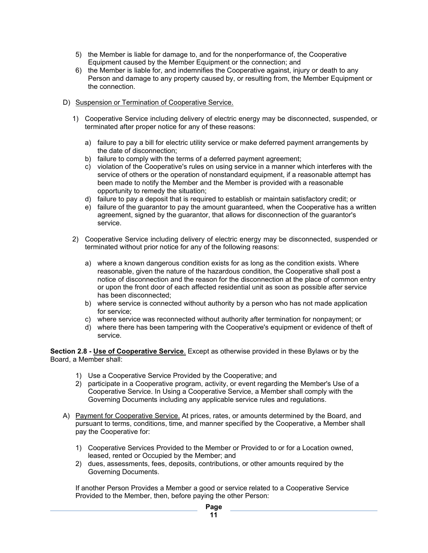- 5) the Member is liable for damage to, and for the nonperformance of, the Cooperative Equipment caused by the Member Equipment or the connection; and
- 6) the Member is liable for, and indemnifies the Cooperative against, injury or death to any Person and damage to any property caused by, or resulting from, the Member Equipment or the connection.

#### D) Suspension or Termination of Cooperative Service.

- 1) Cooperative Service including delivery of electric energy may be disconnected, suspended, or terminated after proper notice for any of these reasons:
	- a) failure to pay a bill for electric utility service or make deferred payment arrangements by the date of disconnection;
	- b) failure to comply with the terms of a deferred payment agreement:
	- c) violation of the Cooperative's rules on using service in a manner which interferes with the service of others or the operation of nonstandard equipment, if a reasonable attempt has been made to notify the Member and the Member is provided with a reasonable opportunity to remedy the situation;
	- d) failure to pay a deposit that is required to establish or maintain satisfactory credit; or
	- e) failure of the guarantor to pay the amount guaranteed, when the Cooperative has a written agreement, signed by the guarantor, that allows for disconnection of the guarantor's service.
- 2) Cooperative Service including delivery of electric energy may be disconnected, suspended or terminated without prior notice for any of the following reasons:
	- a) where a known dangerous condition exists for as long as the condition exists. Where reasonable, given the nature of the hazardous condition, the Cooperative shall post a notice of disconnection and the reason for the disconnection at the place of common entry or upon the front door of each affected residential unit as soon as possible after service has been disconnected;
	- b) where service is connected without authority by a person who has not made application for service;
	- c) where service was reconnected without authority after termination for nonpayment; or
	- d) where there has been tampering with the Cooperative's equipment or evidence of theft of service.

**Section 2.8 - Use of Cooperative Service**. Except as otherwise provided in these Bylaws or by the Board, a Member shall:

- 1) Use a Cooperative Service Provided by the Cooperative; and
- 2) participate in a Cooperative program, activity, or event regarding the Member's Use of a Cooperative Service. In Using a Cooperative Service, a Member shall comply with the Governing Documents including any applicable service rules and regulations.
- A) Payment for Cooperative Service. At prices, rates, or amounts determined by the Board, and pursuant to terms, conditions, time, and manner specified by the Cooperative, a Member shall pay the Cooperative for:
	- 1) Cooperative Services Provided to the Member or Provided to or for a Location owned, leased, rented or Occupied by the Member; and
	- 2) dues, assessments, fees, deposits, contributions, or other amounts required by the Governing Documents.

If another Person Provides a Member a good or service related to a Cooperative Service Provided to the Member, then, before paying the other Person: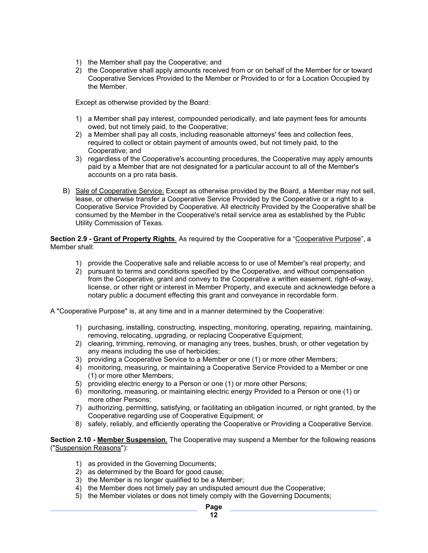- 1) the Member shall pay the Cooperative; and
- 2) the Cooperative shall apply amounts received from or on behalf of the Member for or toward Cooperative Services Provided to the Member or Provided to or for a Location Occupied by the Member.

Except as otherwise provided by the Board:

- 1) a Member shall pay interest, compounded periodically, and late payment fees for amounts owed, but not timely paid, to the Cooperative;
- 2) a Member shall pay all costs, including reasonable attorneys' fees and collection fees, required to collect or obtain payment of amounts owed, but not timely paid, to the Cooperative; and
- 3) regardless of the Cooperative's accounting procedures, the Cooperative may apply amounts paid by a Member that are not designated for a particular account to all of the Member's accounts on a pro rata basis.
- B) Sale of Cooperative Service. Except as otherwise provided by the Board, a Member may not sell, lease, or otherwise transfer a Cooperative Service Provided by the Cooperative or a right to a Cooperative Service Provided by Cooperative. All electricity Provided by the Cooperative shall be consumed by the Member in the Cooperative's retail service area as established by the Public Utility Commission of Texas.

**Section 2.9 - Grant of Property Rights**. As required by the Cooperative for a "Cooperative Purpose", a Member shall:

- 1) provide the Cooperative safe and reliable access to or use of Member's real property; and
- 2) pursuant to terms and conditions specified by the Cooperative, and without compensation from the Cooperative, grant and convey to the Cooperative a written easement, right-of-way, license, or other right or interest in Member Property, and execute and acknowledge before a notary public a document effecting this grant and conveyance in recordable form.

A "Cooperative Purpose" is, at any time and in a manner determined by the Cooperative:

- 1) purchasing, installing, constructing, inspecting, monitoring, operating, repairing, maintaining, removing, relocating, upgrading, or replacing Cooperative Equipment;
- 2) clearing, trimming, removing, or managing any trees, bushes, brush, or other vegetation by any means including the use of herbicides;
- 3) providing a Cooperative Service to a Member or one (1) or more other Members;
- 4) monitoring, measuring, or maintaining a Cooperative Service Provided to a Member or one (1) or more other Members;
- 5) providing electric energy to a Person or one (1) or more other Persons;
- 6) monitoring, measuring, or maintaining electric energy Provided to a Person or one (1) or more other Persons;
- 7) authorizing, permitting, satisfying, or facilitating an obligation incurred, or right granted, by the Cooperative regarding use of Cooperative Equipment; or
- 8) safely, reliably, and efficiently operating the Cooperative or Providing a Cooperative Service.

**Section 2.10 - Member Suspension**. The Cooperative may suspend a Member for the following reasons ("Suspension Reasons"):

- 1) as provided in the Governing Documents;
- 2) as determined by the Board for good cause;
- 3) the Member is no longer qualified to be a Member;
- 4) the Member does not timely pay an undisputed amount due the Cooperative;
- 5) the Member violates or does not timely comply with the Governing Documents;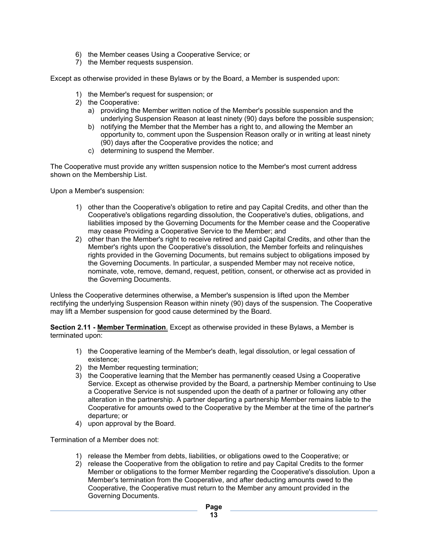- 6) the Member ceases Using a Cooperative Service; or
- 7) the Member requests suspension.

Except as otherwise provided in these Bylaws or by the Board, a Member is suspended upon:

- 1) the Member's request for suspension; or
- 2) the Cooperative:
	- a) providing the Member written notice of the Member's possible suspension and the underlying Suspension Reason at least ninety (90) days before the possible suspension;
	- b) notifying the Member that the Member has a right to, and allowing the Member an opportunity to, comment upon the Suspension Reason orally or in writing at least ninety (90) days after the Cooperative provides the notice; and
	- c) determining to suspend the Member.

The Cooperative must provide any written suspension notice to the Member's most current address shown on the Membership List.

Upon a Member's suspension:

- 1) other than the Cooperative's obligation to retire and pay Capital Credits, and other than the Cooperative's obligations regarding dissolution, the Cooperative's duties, obligations, and liabilities imposed by the Governing Documents for the Member cease and the Cooperative may cease Providing a Cooperative Service to the Member; and
- 2) other than the Member's right to receive retired and paid Capital Credits, and other than the Member's rights upon the Cooperative's dissolution, the Member forfeits and relinquishes rights provided in the Governing Documents, but remains subject to obligations imposed by the Governing Documents. In particular, a suspended Member may not receive notice, nominate, vote, remove, demand, request, petition, consent, or otherwise act as provided in the Governing Documents.

Unless the Cooperative determines otherwise, a Member's suspension is lifted upon the Member rectifying the underlying Suspension Reason within ninety (90) days of the suspension. The Cooperative may lift a Member suspension for good cause determined by the Board.

**Section 2.11 - Member Termination**. Except as otherwise provided in these Bylaws, a Member is terminated upon:

- 1) the Cooperative learning of the Member's death, legal dissolution, or legal cessation of existence;
- 2) the Member requesting termination;
- 3) the Cooperative learning that the Member has permanently ceased Using a Cooperative Service. Except as otherwise provided by the Board, a partnership Member continuing to Use a Cooperative Service is not suspended upon the death of a partner or following any other alteration in the partnership. A partner departing a partnership Member remains liable to the Cooperative for amounts owed to the Cooperative by the Member at the time of the partner's departure; or
- 4) upon approval by the Board.

Termination of a Member does not:

- 1) release the Member from debts, liabilities, or obligations owed to the Cooperative; or
- 2) release the Cooperative from the obligation to retire and pay Capital Credits to the former Member or obligations to the former Member regarding the Cooperative's dissolution. Upon a Member's termination from the Cooperative, and after deducting amounts owed to the Cooperative, the Cooperative must return to the Member any amount provided in the Governing Documents.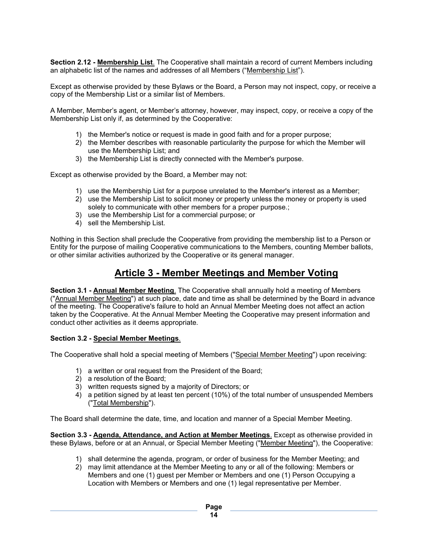**Section 2.12 - Membership List**. The Cooperative shall maintain a record of current Members including an alphabetic list of the names and addresses of all Members ("Membership List").

Except as otherwise provided by these Bylaws or the Board, a Person may not inspect, copy, or receive a copy of the Membership List or a similar list of Members.

A Member, Member's agent, or Member's attorney, however, may inspect, copy, or receive a copy of the Membership List only if, as determined by the Cooperative:

- 1) the Member's notice or request is made in good faith and for a proper purpose;
- 2) the Member describes with reasonable particularity the purpose for which the Member will use the Membership List; and
- 3) the Membership List is directly connected with the Member's purpose.

Except as otherwise provided by the Board, a Member may not:

- 1) use the Membership List for a purpose unrelated to the Member's interest as a Member;
- 2) use the Membership List to solicit money or property unless the money or property is used solely to communicate with other members for a proper purpose.;
- 3) use the Membership List for a commercial purpose; or
- 4) sell the Membership List.

Nothing in this Section shall preclude the Cooperative from providing the membership list to a Person or Entity for the purpose of mailing Cooperative communications to the Members, counting Member ballots, or other similar activities authorized by the Cooperative or its general manager.

### **Article 3 - Member Meetings and Member Voting**

**Section 3.1 - Annual Member Meeting**. The Cooperative shall annually hold a meeting of Members ("Annual Member Meeting") at such place, date and time as shall be determined by the Board in advance of the meeting. The Cooperative's failure to hold an Annual Member Meeting does not affect an action taken by the Cooperative. At the Annual Member Meeting the Cooperative may present information and conduct other activities as it deems appropriate.

#### **Section 3.2 - Special Member Meetings**.

The Cooperative shall hold a special meeting of Members ("Special Member Meeting") upon receiving:

- 1) a written or oral request from the President of the Board;
- 2) a resolution of the Board;
- 3) written requests signed by a majority of Directors; or
- 4) a petition signed by at least ten percent (10%) of the total number of unsuspended Members ("Total Membership").

The Board shall determine the date, time, and location and manner of a Special Member Meeting.

**Section 3.3 - Agenda, Attendance, and Action at Member Meetings**. Except as otherwise provided in these Bylaws, before or at an Annual, or Special Member Meeting ("Member Meeting"), the Cooperative:

- 1) shall determine the agenda, program, or order of business for the Member Meeting; and
- 2) may limit attendance at the Member Meeting to any or all of the following: Members or Members and one (1) guest per Member or Members and one (1) Person Occupying a Location with Members or Members and one (1) legal representative per Member.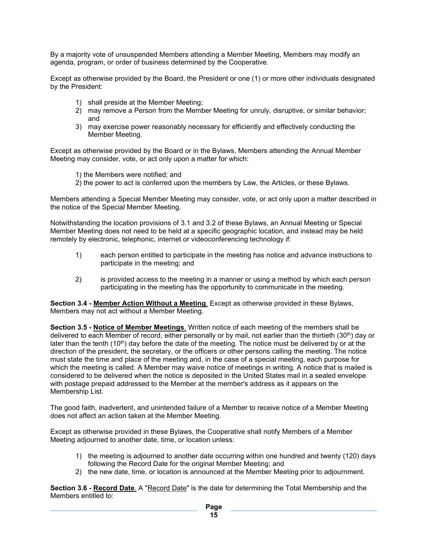By a majority vote of unsuspended Members attending a Member Meeting, Members may modify an agenda, program, or order of business determined by the Cooperative.

Except as otherwise provided by the Board, the President or one (1) or more other individuals designated by the President:

- 1) shall preside at the Member Meeting;
- 2) may remove a Person from the Member Meeting for unruly, disruptive, or similar behavior; and
- 3) may exercise power reasonably necessary for efficiently and effectively conducting the Member Meeting.

Except as otherwise provided by the Board or in the Bylaws, Members attending the Annual Member Meeting may consider, vote, or act only upon a matter for which:

- 1) the Members were notified; and
- 2) the power to act is conferred upon the members by Law, the Articles, or these Bylaws.

Members attending a Special Member Meeting may consider, vote, or act only upon a matter described in the notice of the Special Member Meeting.

Notwithstanding the location provisions of 3.1 and 3.2 of these Bylaws, an Annual Meeting or Special Member Meeting does not need to be held at a specific geographic location, and instead may be held remotely by electronic, telephonic, internet or videoconferencing technology if:

- 1) each person entitled to participate in the meeting has notice and advance instructions to participate in the meeting; and
- 2) is provided access to the meeting in a manner or using a method by which each person participating in the meeting has the opportunity to communicate in the meeting.

**Section 3.4 - Member Action Without a Meeting**. Except as otherwise provided in these Bylaws, Members may not act without a Member Meeting.

**Section 3.5 - Notice of Member Meetings**. Written notice of each meeting of the members shall be delivered to each Member of record, either personally or by mail, not earlier than the thirtieth (30th) day or later than the tenth  $(10<sup>th</sup>)$  day before the date of the meeting. The notice must be delivered by or at the direction of the president, the secretary, or the officers or other persons calling the meeting. The notice must state the time and place of the meeting and, in the case of a special meeting, each purpose for which the meeting is called. A Member may waive notice of meetings in writing. A notice that is mailed is considered to be delivered when the notice is deposited in the United States mail in a sealed envelope with postage prepaid addressed to the Member at the member's address as it appears on the Membership List.

The good faith, inadvertent, and unintended failure of a Member to receive notice of a Member Meeting does not affect an action taken at the Member Meeting.

Except as otherwise provided in these Bylaws, the Cooperative shall notify Members of a Member Meeting adjourned to another date, time, or location unless:

- 1) the meeting is adjourned to another date occurring within one hundred and twenty (120) days following the Record Date for the original Member Meeting; and
- 2) the new date, time, or location is announced at the Member Meeting prior to adjournment.

**Section 3.6 - Record Date**. A "Record Date" is the date for determining the Total Membership and the Members entitled to: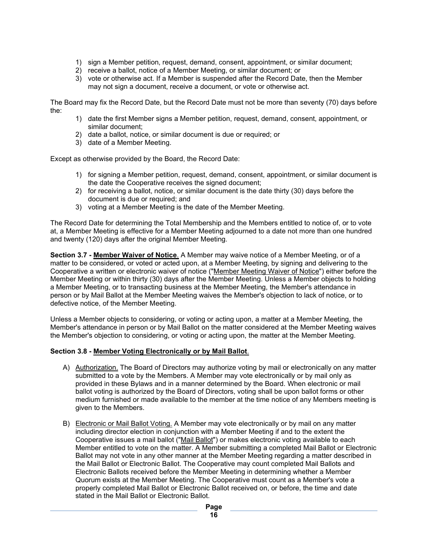- 1) sign a Member petition, request, demand, consent, appointment, or similar document;
- 2) receive a ballot, notice of a Member Meeting, or similar document; or
- 3) vote or otherwise act. If a Member is suspended after the Record Date, then the Member may not sign a document, receive a document, or vote or otherwise act.

The Board may fix the Record Date, but the Record Date must not be more than seventy (70) days before the:

- 1) date the first Member signs a Member petition, request, demand, consent, appointment, or similar document;
- 2) date a ballot, notice, or similar document is due or required; or
- 3) date of a Member Meeting.

Except as otherwise provided by the Board, the Record Date:

- 1) for signing a Member petition, request, demand, consent, appointment, or similar document is the date the Cooperative receives the signed document;
- 2) for receiving a ballot, notice, or similar document is the date thirty (30) days before the document is due or required; and
- 3) voting at a Member Meeting is the date of the Member Meeting.

The Record Date for determining the Total Membership and the Members entitled to notice of, or to vote at, a Member Meeting is effective for a Member Meeting adjourned to a date not more than one hundred and twenty (120) days after the original Member Meeting.

**Section 3.7 - Member Waiver of Notice**. A Member may waive notice of a Member Meeting, or of a matter to be considered, or voted or acted upon, at a Member Meeting, by signing and delivering to the Cooperative a written or electronic waiver of notice ("Member Meeting Waiver of Notice") either before the Member Meeting or within thirty (30) days after the Member Meeting. Unless a Member objects to holding a Member Meeting, or to transacting business at the Member Meeting, the Member's attendance in person or by Mail Ballot at the Member Meeting waives the Member's objection to lack of notice, or to defective notice, of the Member Meeting.

Unless a Member objects to considering, or voting or acting upon, a matter at a Member Meeting, the Member's attendance in person or by Mail Ballot on the matter considered at the Member Meeting waives the Member's objection to considering, or voting or acting upon, the matter at the Member Meeting.

#### **Section 3.8 - Member Voting Electronically or by Mail Ballot**.

- A) Authorization. The Board of Directors may authorize voting by mail or electronically on any matter submitted to a vote by the Members. A Member may vote electronically or by mail only as provided in these Bylaws and in a manner determined by the Board. When electronic or mail ballot voting is authorized by the Board of Directors, voting shall be upon ballot forms or other medium furnished or made available to the member at the time notice of any Members meeting is given to the Members.
- B) Electronic or Mail Ballot Voting. A Member may vote electronically or by mail on any matter including director election in conjunction with a Member Meeting if and to the extent the Cooperative issues a mail ballot ("Mail Ballot") or makes electronic voting available to each Member entitled to vote on the matter. A Member submitting a completed Mail Ballot or Electronic Ballot may not vote in any other manner at the Member Meeting regarding a matter described in the Mail Ballot or Electronic Ballot. The Cooperative may count completed Mail Ballots and Electronic Ballots received before the Member Meeting in determining whether a Member Quorum exists at the Member Meeting. The Cooperative must count as a Member's vote a properly completed Mail Ballot or Electronic Ballot received on, or before, the time and date stated in the Mail Ballot or Electronic Ballot.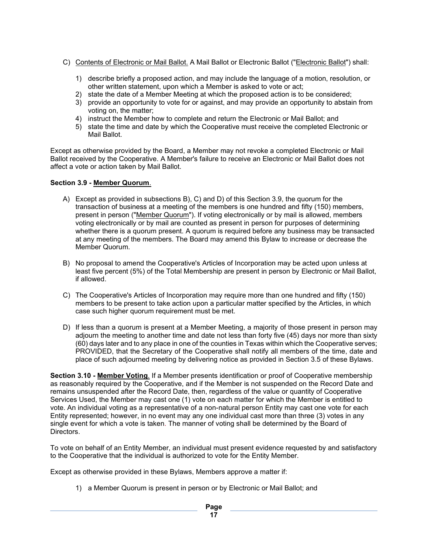- C) Contents of Electronic or Mail Ballot. A Mail Ballot or Electronic Ballot ("Electronic Ballot") shall:
	- 1) describe briefly a proposed action, and may include the language of a motion, resolution, or other written statement, upon which a Member is asked to vote or act;
	- 2) state the date of a Member Meeting at which the proposed action is to be considered;
	- 3) provide an opportunity to vote for or against, and may provide an opportunity to abstain from voting on, the matter;
	- 4) instruct the Member how to complete and return the Electronic or Mail Ballot; and
	- 5) state the time and date by which the Cooperative must receive the completed Electronic or Mail Ballot.

Except as otherwise provided by the Board, a Member may not revoke a completed Electronic or Mail Ballot received by the Cooperative. A Member's failure to receive an Electronic or Mail Ballot does not affect a vote or action taken by Mail Ballot.

#### **Section 3.9 - Member Quorum**.

- A) Except as provided in subsections B), C) and D) of this Section 3.9, the quorum for the transaction of business at a meeting of the members is one hundred and fifty (150) members, present in person ("Member Quorum"). If voting electronically or by mail is allowed, members voting electronically or by mail are counted as present in person for purposes of determining whether there is a quorum present. A quorum is required before any business may be transacted at any meeting of the members. The Board may amend this Bylaw to increase or decrease the Member Quorum.
- B) No proposal to amend the Cooperative's Articles of Incorporation may be acted upon unless at least five percent (5%) of the Total Membership are present in person by Electronic or Mail Ballot, if allowed.
- C) The Cooperative's Articles of Incorporation may require more than one hundred and fifty (150) members to be present to take action upon a particular matter specified by the Articles, in which case such higher quorum requirement must be met.
- D) If less than a quorum is present at a Member Meeting, a majority of those present in person may adjourn the meeting to another time and date not less than forty five (45) days nor more than sixty (60) days later and to any place in one of the counties in Texas within which the Cooperative serves; PROVIDED, that the Secretary of the Cooperative shall notify all members of the time, date and place of such adjourned meeting by delivering notice as provided in Section 3.5 of these Bylaws.

**Section 3.10 - Member Voting**. If a Member presents identification or proof of Cooperative membership as reasonably required by the Cooperative, and if the Member is not suspended on the Record Date and remains unsuspended after the Record Date, then, regardless of the value or quantity of Cooperative Services Used, the Member may cast one (1) vote on each matter for which the Member is entitled to vote. An individual voting as a representative of a non-natural person Entity may cast one vote for each Entity represented; however, in no event may any one individual cast more than three (3) votes in any single event for which a vote is taken. The manner of voting shall be determined by the Board of Directors.

To vote on behalf of an Entity Member, an individual must present evidence requested by and satisfactory to the Cooperative that the individual is authorized to vote for the Entity Member.

Except as otherwise provided in these Bylaws, Members approve a matter if:

1) a Member Quorum is present in person or by Electronic or Mail Ballot; and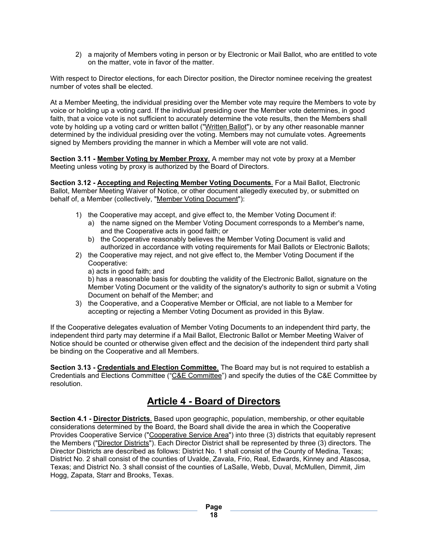2) a majority of Members voting in person or by Electronic or Mail Ballot, who are entitled to vote on the matter, vote in favor of the matter.

With respect to Director elections, for each Director position, the Director nominee receiving the greatest number of votes shall be elected.

At a Member Meeting, the individual presiding over the Member vote may require the Members to vote by voice or holding up a voting card. If the individual presiding over the Member vote determines, in good faith, that a voice vote is not sufficient to accurately determine the vote results, then the Members shall vote by holding up a voting card or written ballot ("Written Ballot"), or by any other reasonable manner determined by the individual presiding over the voting. Members may not cumulate votes. Agreements signed by Members providing the manner in which a Member will vote are not valid.

**Section 3.11 - Member Voting by Member Proxy.** A member may not vote by proxy at a Member Meeting unless voting by proxy is authorized by the Board of Directors.

**Section 3.12 - Accepting and Rejecting Member Voting Documents**. For a Mail Ballot, Electronic Ballot, Member Meeting Waiver of Notice, or other document allegedly executed by, or submitted on behalf of, a Member (collectively, "Member Voting Document"):

- 1) the Cooperative may accept, and give effect to, the Member Voting Document if:
	- a) the name signed on the Member Voting Document corresponds to a Member's name, and the Cooperative acts in good faith; or
	- b) the Cooperative reasonably believes the Member Voting Document is valid and authorized in accordance with voting requirements for Mail Ballots or Electronic Ballots;
- 2) the Cooperative may reject, and not give effect to, the Member Voting Document if the Cooperative:

a) acts in good faith; and

b) has a reasonable basis for doubting the validity of the Electronic Ballot, signature on the Member Voting Document or the validity of the signatory's authority to sign or submit a Voting Document on behalf of the Member; and

3) the Cooperative, and a Cooperative Member or Official, are not liable to a Member for accepting or rejecting a Member Voting Document as provided in this Bylaw.

If the Cooperative delegates evaluation of Member Voting Documents to an independent third party, the independent third party may determine if a Mail Ballot, Electronic Ballot or Member Meeting Waiver of Notice should be counted or otherwise given effect and the decision of the independent third party shall be binding on the Cooperative and all Members.

**Section 3.13 - Credentials and Election Committee**. The Board may but is not required to establish a Credentials and Elections Committee ("C&E Committee") and specify the duties of the C&E Committee by resolution.

# **Article 4 - Board of Directors**

**Section 4.1 - Director Districts**. Based upon geographic, population, membership, or other equitable considerations determined by the Board, the Board shall divide the area in which the Cooperative Provides Cooperative Service ("Cooperative Service Area") into three (3) districts that equitably represent the Members ("Director Districts"). Each Director District shall be represented by three (3) directors. The Director Districts are described as follows: District No. 1 shall consist of the County of Medina, Texas; District No. 2 shall consist of the counties of Uvalde, Zavala, Frio, Real, Edwards, Kinney and Atascosa, Texas; and District No. 3 shall consist of the counties of LaSalle, Webb, Duval, McMullen, Dimmit, Jim Hogg, Zapata, Starr and Brooks, Texas.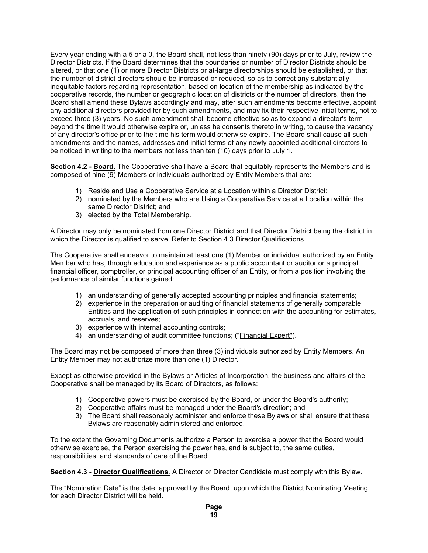Every year ending with a 5 or a 0, the Board shall, not less than ninety (90) days prior to July, review the Director Districts. If the Board determines that the boundaries or number of Director Districts should be altered, or that one (1) or more Director Districts or at-large directorships should be established, or that the number of district directors should be increased or reduced, so as to correct any substantially inequitable factors regarding representation, based on location of the membership as indicated by the cooperative records, the number or geographic location of districts or the number of directors, then the Board shall amend these Bylaws accordingly and may, after such amendments become effective, appoint any additional directors provided for by such amendments, and may fix their respective initial terms, not to exceed three (3) years. No such amendment shall become effective so as to expand a director's term beyond the time it would otherwise expire or, unless he consents thereto in writing, to cause the vacancy of any director's office prior to the time his term would otherwise expire. The Board shall cause all such amendments and the names, addresses and initial terms of any newly appointed additional directors to be noticed in writing to the members not less than ten (10) days prior to July 1.

**Section 4.2 - Board**. The Cooperative shall have a Board that equitably represents the Members and is composed of nine (9) Members or individuals authorized by Entity Members that are:

- 1) Reside and Use a Cooperative Service at a Location within a Director District;
- 2) nominated by the Members who are Using a Cooperative Service at a Location within the same Director District; and
- 3) elected by the Total Membership.

A Director may only be nominated from one Director District and that Director District being the district in which the Director is qualified to serve. Refer to Section 4.3 Director Qualifications.

The Cooperative shall endeavor to maintain at least one (1) Member or individual authorized by an Entity Member who has, through education and experience as a public accountant or auditor or a principal financial officer, comptroller, or principal accounting officer of an Entity, or from a position involving the performance of similar functions gained:

- 1) an understanding of generally accepted accounting principles and financial statements;
- 2) experience in the preparation or auditing of financial statements of generally comparable Entities and the application of such principles in connection with the accounting for estimates, accruals, and reserves;
- 3) experience with internal accounting controls;
- 4) an understanding of audit committee functions; ("Financial Expert").

The Board may not be composed of more than three (3) individuals authorized by Entity Members. An Entity Member may not authorize more than one (1) Director.

Except as otherwise provided in the Bylaws or Articles of Incorporation, the business and affairs of the Cooperative shall be managed by its Board of Directors, as follows:

- 1) Cooperative powers must be exercised by the Board, or under the Board's authority;
- 2) Cooperative affairs must be managed under the Board's direction; and
- 3) The Board shall reasonably administer and enforce these Bylaws or shall ensure that these Bylaws are reasonably administered and enforced.

To the extent the Governing Documents authorize a Person to exercise a power that the Board would otherwise exercise, the Person exercising the power has, and is subject to, the same duties, responsibilities, and standards of care of the Board.

**Section 4.3 - Director Qualifications**. A Director or Director Candidate must comply with this Bylaw.

The "Nomination Date" is the date, approved by the Board, upon which the District Nominating Meeting for each Director District will be held.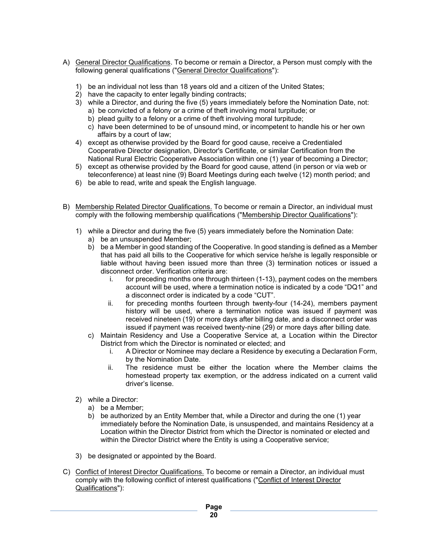- A) General Director Qualifications. To become or remain a Director, a Person must comply with the following general qualifications ("General Director Qualifications"):
	- 1) be an individual not less than 18 years old and a citizen of the United States;
	- 2) have the capacity to enter legally binding contracts;
	- 3) while a Director, and during the five (5) years immediately before the Nomination Date, not: a) be convicted of a felony or a crime of theft involving moral turpitude; or
		- b) plead guilty to a felony or a crime of theft involving moral turpitude;
		- c) have been determined to be of unsound mind, or incompetent to handle his or her own affairs by a court of law;
	- 4) except as otherwise provided by the Board for good cause, receive a Credentialed Cooperative Director designation, Director's Certificate, or similar Certification from the National Rural Electric Cooperative Association within one (1) year of becoming a Director;
	- 5) except as otherwise provided by the Board for good cause, attend (in person or via web or teleconference) at least nine (9) Board Meetings during each twelve (12) month period; and
	- 6) be able to read, write and speak the English language.
- B) Membership Related Director Qualifications. To become or remain a Director, an individual must comply with the following membership qualifications ("Membership Director Qualifications"):
	- 1) while a Director and during the five (5) years immediately before the Nomination Date: a) be an unsuspended Member;
		- b) be a Member in good standing of the Cooperative. In good standing is defined as a Member that has paid all bills to the Cooperative for which service he/she is legally responsible or liable without having been issued more than three (3) termination notices or issued a disconnect order. Verification criteria are:
			- i. for preceding months one through thirteen (1-13), payment codes on the members account will be used, where a termination notice is indicated by a code "DQ1" and a disconnect order is indicated by a code "CUT".
			- ii. for preceding months fourteen through twenty-four (14-24), members payment history will be used, where a termination notice was issued if payment was received nineteen (19) or more days after billing date, and a disconnect order was issued if payment was received twenty-nine (29) or more days after billing date.
		- c) Maintain Residency and Use a Cooperative Service at, a Location within the Director District from which the Director is nominated or elected; and
			- i. A Director or Nominee may declare a Residence by executing a Declaration Form, by the Nomination Date.
			- ii. The residence must be either the location where the Member claims the homestead property tax exemption, or the address indicated on a current valid driver's license.
	- 2) while a Director:
		- a) be a Member;
		- b) be authorized by an Entity Member that, while a Director and during the one (1) year immediately before the Nomination Date, is unsuspended, and maintains Residency at a Location within the Director District from which the Director is nominated or elected and within the Director District where the Entity is using a Cooperative service;
	- 3) be designated or appointed by the Board.
- C) Conflict of Interest Director Qualifications. To become or remain a Director, an individual must comply with the following conflict of interest qualifications ("Conflict of Interest Director Qualifications"):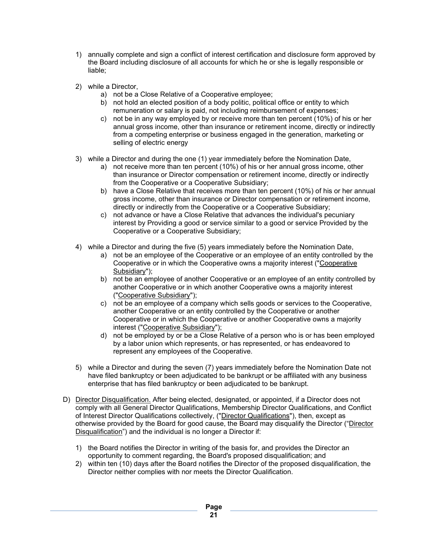- 1) annually complete and sign a conflict of interest certification and disclosure form approved by the Board including disclosure of all accounts for which he or she is legally responsible or liable;
- 2) while a Director,
	- a) not be a Close Relative of a Cooperative employee;
	- b) not hold an elected position of a body politic, political office or entity to which remuneration or salary is paid, not including reimbursement of expenses;
	- c) not be in any way employed by or receive more than ten percent (10%) of his or her annual gross income, other than insurance or retirement income, directly or indirectly from a competing enterprise or business engaged in the generation, marketing or selling of electric energy
- 3) while a Director and during the one (1) year immediately before the Nomination Date,
	- a) not receive more than ten percent (10%) of his or her annual gross income, other than insurance or Director compensation or retirement income, directly or indirectly from the Cooperative or a Cooperative Subsidiary;
	- b) have a Close Relative that receives more than ten percent (10%) of his or her annual gross income, other than insurance or Director compensation or retirement income, directly or indirectly from the Cooperative or a Cooperative Subsidiary;
	- c) not advance or have a Close Relative that advances the individual's pecuniary interest by Providing a good or service similar to a good or service Provided by the Cooperative or a Cooperative Subsidiary;
- 4) while a Director and during the five (5) years immediately before the Nomination Date,
	- a) not be an employee of the Cooperative or an employee of an entity controlled by the Cooperative or in which the Cooperative owns a majority interest ("Cooperative Subsidiary");
	- b) not be an employee of another Cooperative or an employee of an entity controlled by another Cooperative or in which another Cooperative owns a majority interest ("Cooperative Subsidiary");
	- c) not be an employee of a company which sells goods or services to the Cooperative, another Cooperative or an entity controlled by the Cooperative or another Cooperative or in which the Cooperative or another Cooperative owns a majority interest ("Cooperative Subsidiary");
	- d) not be employed by or be a Close Relative of a person who is or has been employed by a labor union which represents, or has represented, or has endeavored to represent any employees of the Cooperative.
- 5) while a Director and during the seven (7) years immediately before the Nomination Date not have filed bankruptcy or been adjudicated to be bankrupt or be affiliated with any business enterprise that has filed bankruptcy or been adjudicated to be bankrupt.
- D) Director Disqualification. After being elected, designated, or appointed, if a Director does not comply with all General Director Qualifications, Membership Director Qualifications, and Conflict of Interest Director Qualifications collectively, ("Director Qualifications"), then, except as otherwise provided by the Board for good cause, the Board may disqualify the Director ("Director Disqualification") and the individual is no longer a Director if:
	- 1) the Board notifies the Director in writing of the basis for, and provides the Director an opportunity to comment regarding, the Board's proposed disqualification; and
	- 2) within ten (10) days after the Board notifies the Director of the proposed disqualification, the Director neither complies with nor meets the Director Qualification.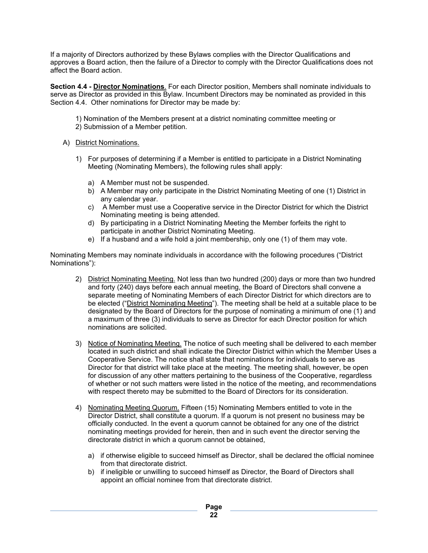If a majority of Directors authorized by these Bylaws complies with the Director Qualifications and approves a Board action, then the failure of a Director to comply with the Director Qualifications does not affect the Board action.

**Section 4.4 - Director Nominations**. For each Director position, Members shall nominate individuals to serve as Director as provided in this Bylaw. Incumbent Directors may be nominated as provided in this Section 4.4. Other nominations for Director may be made by:

- 1) Nomination of the Members present at a district nominating committee meeting or
- 2) Submission of a Member petition.
- A) District Nominations.
	- 1) For purposes of determining if a Member is entitled to participate in a District Nominating Meeting (Nominating Members), the following rules shall apply:
		- a) A Member must not be suspended.
		- b) A Member may only participate in the District Nominating Meeting of one (1) District in any calendar year.
		- c) A Member must use a Cooperative service in the Director District for which the District Nominating meeting is being attended.
		- d) By participating in a District Nominating Meeting the Member forfeits the right to participate in another District Nominating Meeting.
		- e) If a husband and a wife hold a joint membership, only one (1) of them may vote.

Nominating Members may nominate individuals in accordance with the following procedures ("District Nominations"):

- 2) District Nominating Meeting. Not less than two hundred (200) days or more than two hundred and forty (240) days before each annual meeting, the Board of Directors shall convene a separate meeting of Nominating Members of each Director District for which directors are to be elected ("District Nominating Meeting"). The meeting shall be held at a suitable place to be designated by the Board of Directors for the purpose of nominating a minimum of one (1) and a maximum of three (3) individuals to serve as Director for each Director position for which nominations are solicited.
- 3) Notice of Nominating Meeting. The notice of such meeting shall be delivered to each member located in such district and shall indicate the Director District within which the Member Uses a Cooperative Service. The notice shall state that nominations for individuals to serve as Director for that district will take place at the meeting. The meeting shall, however, be open for discussion of any other matters pertaining to the business of the Cooperative, regardless of whether or not such matters were listed in the notice of the meeting, and recommendations with respect thereto may be submitted to the Board of Directors for its consideration.
- 4) Nominating Meeting Quorum. Fifteen (15) Nominating Members entitled to vote in the Director District, shall constitute a quorum. If a quorum is not present no business may be officially conducted. In the event a quorum cannot be obtained for any one of the district nominating meetings provided for herein, then and in such event the director serving the directorate district in which a quorum cannot be obtained,
	- a) if otherwise eligible to succeed himself as Director, shall be declared the official nominee from that directorate district.
	- b) if ineligible or unwilling to succeed himself as Director, the Board of Directors shall appoint an official nominee from that directorate district.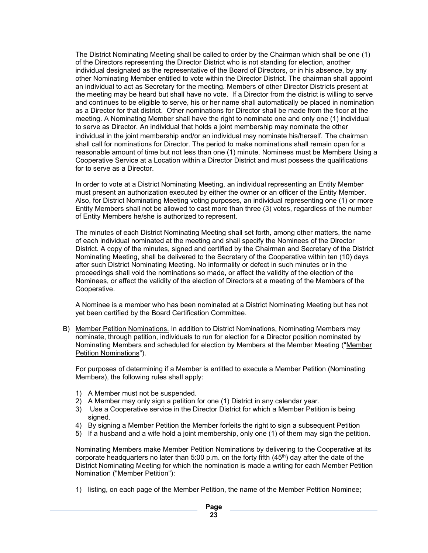The District Nominating Meeting shall be called to order by the Chairman which shall be one (1) of the Directors representing the Director District who is not standing for election, another individual designated as the representative of the Board of Directors, or in his absence, by any other Nominating Member entitled to vote within the Director District. The chairman shall appoint an individual to act as Secretary for the meeting. Members of other Director Districts present at the meeting may be heard but shall have no vote. If a Director from the district is willing to serve and continues to be eligible to serve, his or her name shall automatically be placed in nomination as a Director for that district. Other nominations for Director shall be made from the floor at the meeting. A Nominating Member shall have the right to nominate one and only one (1) individual to serve as Director. An individual that holds a joint membership may nominate the other individual in the joint membership and/or an individual may nominate his/herself. The chairman shall call for nominations for Director. The period to make nominations shall remain open for a reasonable amount of time but not less than one (1) minute. Nominees must be Members Using a Cooperative Service at a Location within a Director District and must possess the qualifications for to serve as a Director.

In order to vote at a District Nominating Meeting, an individual representing an Entity Member must present an authorization executed by either the owner or an officer of the Entity Member. Also, for District Nominating Meeting voting purposes, an individual representing one (1) or more Entity Members shall not be allowed to cast more than three (3) votes, regardless of the number of Entity Members he/she is authorized to represent.

The minutes of each District Nominating Meeting shall set forth, among other matters, the name of each individual nominated at the meeting and shall specify the Nominees of the Director District. A copy of the minutes, signed and certified by the Chairman and Secretary of the District Nominating Meeting, shall be delivered to the Secretary of the Cooperative within ten (10) days after such District Nominating Meeting. No informality or defect in such minutes or in the proceedings shall void the nominations so made, or affect the validity of the election of the Nominees, or affect the validity of the election of Directors at a meeting of the Members of the Cooperative.

A Nominee is a member who has been nominated at a District Nominating Meeting but has not yet been certified by the Board Certification Committee.

B) Member Petition Nominations. In addition to District Nominations, Nominating Members may nominate, through petition, individuals to run for election for a Director position nominated by Nominating Members and scheduled for election by Members at the Member Meeting ("Member Petition Nominations").

For purposes of determining if a Member is entitled to execute a Member Petition (Nominating Members), the following rules shall apply:

- 1) A Member must not be suspended.
- 2) A Member may only sign a petition for one (1) District in any calendar year.
- 3) Use a Cooperative service in the Director District for which a Member Petition is being signed.
- 4) By signing a Member Petition the Member forfeits the right to sign a subsequent Petition
- 5) If a husband and a wife hold a joint membership, only one (1) of them may sign the petition.

Nominating Members make Member Petition Nominations by delivering to the Cooperative at its corporate headquarters no later than 5:00 p.m. on the forty fifth (45<sup>th</sup>) day after the date of the District Nominating Meeting for which the nomination is made a writing for each Member Petition Nomination ("Member Petition"):

1) listing, on each page of the Member Petition, the name of the Member Petition Nominee;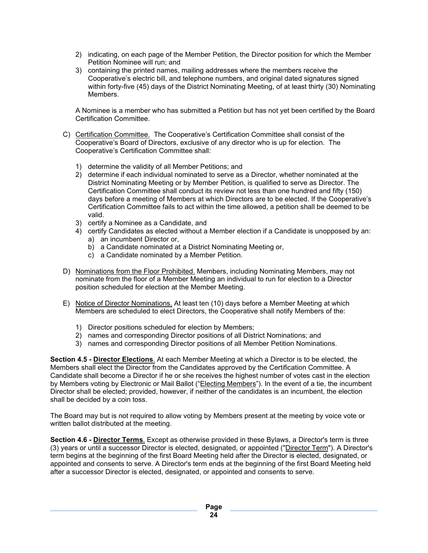- 2) indicating, on each page of the Member Petition, the Director position for which the Member Petition Nominee will run; and
- 3) containing the printed names, mailing addresses where the members receive the Cooperative's electric bill, and telephone numbers, and original dated signatures signed within forty-five (45) days of the District Nominating Meeting, of at least thirty (30) Nominating Members.

A Nominee is a member who has submitted a Petition but has not yet been certified by the Board Certification Committee.

- C) Certification Committee. The Cooperative's Certification Committee shall consist of the Cooperative's Board of Directors, exclusive of any director who is up for election. The Cooperative's Certification Committee shall:
	- 1) determine the validity of all Member Petitions; and
	- 2) determine if each individual nominated to serve as a Director, whether nominated at the District Nominating Meeting or by Member Petition, is qualified to serve as Director. The Certification Committee shall conduct its review not less than one hundred and fifty (150) days before a meeting of Members at which Directors are to be elected. If the Cooperative's Certification Committee fails to act within the time allowed, a petition shall be deemed to be valid.
	- 3) certify a Nominee as a Candidate, and
	- 4) certify Candidates as elected without a Member election if a Candidate is unopposed by an: a) an incumbent Director or,
		- b) a Candidate nominated at a District Nominating Meeting or,
		- c) a Candidate nominated by a Member Petition.
- D) Nominations from the Floor Prohibited. Members, including Nominating Members, may not nominate from the floor of a Member Meeting an individual to run for election to a Director position scheduled for election at the Member Meeting.
- E) Notice of Director Nominations. At least ten (10) days before a Member Meeting at which Members are scheduled to elect Directors, the Cooperative shall notify Members of the:
	- 1) Director positions scheduled for election by Members;
	- 2) names and corresponding Director positions of all District Nominations; and
	- 3) names and corresponding Director positions of all Member Petition Nominations.

**Section 4.5 - Director Elections**. At each Member Meeting at which a Director is to be elected, the Members shall elect the Director from the Candidates approved by the Certification Committee. A Candidate shall become a Director if he or she receives the highest number of votes cast in the election by Members voting by Electronic or Mail Ballot ("Electing Members"). In the event of a tie, the incumbent Director shall be elected; provided, however, if neither of the candidates is an incumbent, the election shall be decided by a coin toss.

The Board may but is not required to allow voting by Members present at the meeting by voice vote or written ballot distributed at the meeting.

**Section 4.6 - Director Terms**. Except as otherwise provided in these Bylaws, a Director's term is three (3) years or until a successor Director is elected, designated, or appointed ("Director Term"). A Director's term begins at the beginning of the first Board Meeting held after the Director is elected, designated, or appointed and consents to serve. A Director's term ends at the beginning of the first Board Meeting held after a successor Director is elected, designated, or appointed and consents to serve.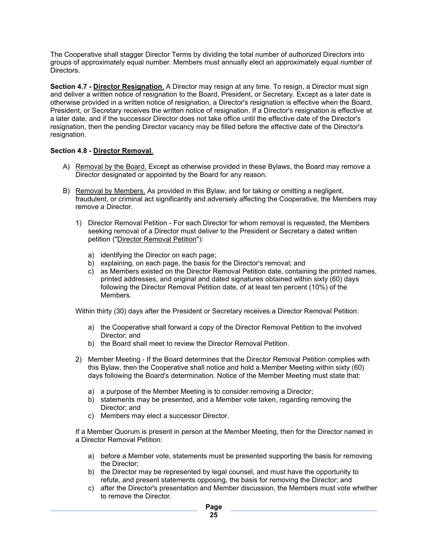The Cooperative shall stagger Director Terms by dividing the total number of authorized Directors into groups of approximately equal number. Members must annually elect an approximately equal number of Directors.

**Section 4.7 - Director Resignation**. A Director may resign at any time. To resign, a Director must sign and deliver a written notice of resignation to the Board, President, or Secretary. Except as a later date is otherwise provided in a written notice of resignation, a Director's resignation is effective when the Board, President, or Secretary receives the written notice of resignation. If a Director's resignation is effective at a later date, and if the successor Director does not take office until the effective date of the Director's resignation, then the pending Director vacancy may be filled before the effective date of the Director's resignation.

#### **Section 4.8 - Director Removal**.

- A) Removal by the Board. Except as otherwise provided in these Bylaws, the Board may remove a Director designated or appointed by the Board for any reason.
- B) Removal by Members. As provided in this Bylaw, and for taking or omitting a negligent, fraudulent, or criminal act significantly and adversely affecting the Cooperative, the Members may remove a Director.
	- 1) Director Removal Petition For each Director for whom removal is requested, the Members seeking removal of a Director must deliver to the President or Secretary a dated written petition ("Director Removal Petition"):
		- a) identifying the Director on each page;
		- b) explaining, on each page, the basis for the Director's removal; and
		- c) as Members existed on the Director Removal Petition date, containing the printed names, printed addresses, and original and dated signatures obtained within sixty (60) days following the Director Removal Petition date, of at least ten percent (10%) of the Members.

Within thirty (30) days after the President or Secretary receives a Director Removal Petition:

- a) the Cooperative shall forward a copy of the Director Removal Petition to the involved Director; and
- b) the Board shall meet to review the Director Removal Petition.
- 2) Member Meeting If the Board determines that the Director Removal Petition complies with this Bylaw, then the Cooperative shall notice and hold a Member Meeting within sixty (60) days following the Board's determination. Notice of the Member Meeting must state that:
	- a) a purpose of the Member Meeting is to consider removing a Director;
	- b) statements may be presented, and a Member vote taken, regarding removing the Director; and
	- c) Members may elect a successor Director.

If a Member Quorum is present in person at the Member Meeting, then for the Director named in a Director Removal Petition:

- a) before a Member vote, statements must be presented supporting the basis for removing the Director;
- b) the Director may be represented by legal counsel, and must have the opportunity to refute, and present statements opposing, the basis for removing the Director; and
- c) after the Director's presentation and Member discussion, the Members must vote whether to remove the Director.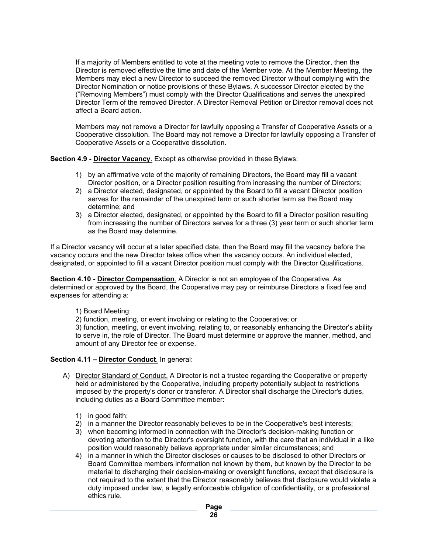If a majority of Members entitled to vote at the meeting vote to remove the Director, then the Director is removed effective the time and date of the Member vote. At the Member Meeting, the Members may elect a new Director to succeed the removed Director without complying with the Director Nomination or notice provisions of these Bylaws. A successor Director elected by the ("Removing Members") must comply with the Director Qualifications and serves the unexpired Director Term of the removed Director. A Director Removal Petition or Director removal does not affect a Board action.

Members may not remove a Director for lawfully opposing a Transfer of Cooperative Assets or a Cooperative dissolution. The Board may not remove a Director for lawfully opposing a Transfer of Cooperative Assets or a Cooperative dissolution.

**Section 4.9 - Director Vacancy**. Except as otherwise provided in these Bylaws:

- 1) by an affirmative vote of the majority of remaining Directors, the Board may fill a vacant Director position, or a Director position resulting from increasing the number of Directors;
- 2) a Director elected, designated, or appointed by the Board to fill a vacant Director position serves for the remainder of the unexpired term or such shorter term as the Board may determine; and
- 3) a Director elected, designated, or appointed by the Board to fill a Director position resulting from increasing the number of Directors serves for a three (3) year term or such shorter term as the Board may determine.

If a Director vacancy will occur at a later specified date, then the Board may fill the vacancy before the vacancy occurs and the new Director takes office when the vacancy occurs. An individual elected, designated, or appointed to fill a vacant Director position must comply with the Director Qualifications.

**Section 4.10 - Director Compensation**. A Director is not an employee of the Cooperative. As determined or approved by the Board, the Cooperative may pay or reimburse Directors a fixed fee and expenses for attending a:

1) Board Meeting;

2) function, meeting, or event involving or relating to the Cooperative; or

3) function, meeting, or event involving, relating to, or reasonably enhancing the Director's ability to serve in, the role of Director. The Board must determine or approve the manner, method, and amount of any Director fee or expense.

#### **Section 4.11 – Director Conduct**. In general:

- A) Director Standard of Conduct. A Director is not a trustee regarding the Cooperative or property held or administered by the Cooperative, including property potentially subject to restrictions imposed by the property's donor or transferor. A Director shall discharge the Director's duties, including duties as a Board Committee member:
	- 1) in good faith;
	- 2) in a manner the Director reasonably believes to be in the Cooperative's best interests;
	- 3) when becoming informed in connection with the Director's decision-making function or devoting attention to the Director's oversight function, with the care that an individual in a like position would reasonably believe appropriate under similar circumstances; and
	- 4) in a manner in which the Director discloses or causes to be disclosed to other Directors or Board Committee members information not known by them, but known by the Director to be material to discharging their decision-making or oversight functions, except that disclosure is not required to the extent that the Director reasonably believes that disclosure would violate a duty imposed under law, a legally enforceable obligation of confidentiality, or a professional ethics rule.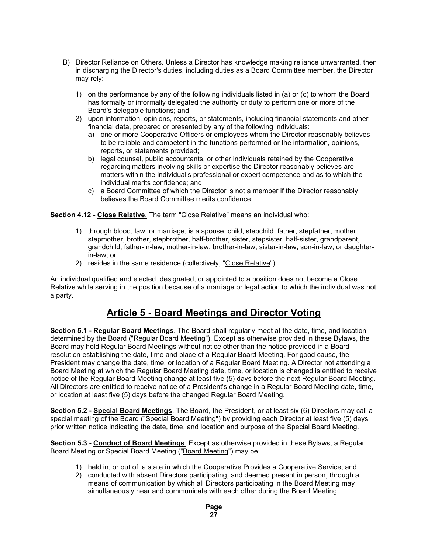- B) Director Reliance on Others. Unless a Director has knowledge making reliance unwarranted, then in discharging the Director's duties, including duties as a Board Committee member, the Director may rely:
	- 1) on the performance by any of the following individuals listed in (a) or (c) to whom the Board has formally or informally delegated the authority or duty to perform one or more of the Board's delegable functions; and
	- 2) upon information, opinions, reports, or statements, including financial statements and other financial data, prepared or presented by any of the following individuals:
		- a) one or more Cooperative Officers or employees whom the Director reasonably believes to be reliable and competent in the functions performed or the information, opinions, reports, or statements provided;
		- b) legal counsel, public accountants, or other individuals retained by the Cooperative regarding matters involving skills or expertise the Director reasonably believes are matters within the individual's professional or expert competence and as to which the individual merits confidence; and
		- c) a Board Committee of which the Director is not a member if the Director reasonably believes the Board Committee merits confidence.

**Section 4.12 - Close Relative**. The term "Close Relative" means an individual who:

- 1) through blood, law, or marriage, is a spouse, child, stepchild, father, stepfather, mother, stepmother, brother, stepbrother, half-brother, sister, stepsister, half-sister, grandparent, grandchild, father-in-law, mother-in-law, brother-in-law, sister-in-law, son-in-law, or daughterin-law; or
- 2) resides in the same residence (collectively, "Close Relative").

An individual qualified and elected, designated, or appointed to a position does not become a Close Relative while serving in the position because of a marriage or legal action to which the individual was not a party.

# **Article 5 - Board Meetings and Director Voting**

**Section 5.1 - Regular Board Meetings**. The Board shall regularly meet at the date, time, and location determined by the Board ("Regular Board Meeting"). Except as otherwise provided in these Bylaws, the Board may hold Regular Board Meetings without notice other than the notice provided in a Board resolution establishing the date, time and place of a Regular Board Meeting. For good cause, the President may change the date, time, or location of a Regular Board Meeting. A Director not attending a Board Meeting at which the Regular Board Meeting date, time, or location is changed is entitled to receive notice of the Regular Board Meeting change at least five (5) days before the next Regular Board Meeting. All Directors are entitled to receive notice of a President's change in a Regular Board Meeting date, time, or location at least five (5) days before the changed Regular Board Meeting.

**Section 5.2 - Special Board Meetings**. The Board, the President, or at least six (6) Directors may call a special meeting of the Board ("Special Board Meeting") by providing each Director at least five (5) days prior written notice indicating the date, time, and location and purpose of the Special Board Meeting.

**Section 5.3 - Conduct of Board Meetings**. Except as otherwise provided in these Bylaws, a Regular Board Meeting or Special Board Meeting ("Board Meeting") may be:

- 1) held in, or out of, a state in which the Cooperative Provides a Cooperative Service; and
- 2) conducted with absent Directors participating, and deemed present in person, through a means of communication by which all Directors participating in the Board Meeting may simultaneously hear and communicate with each other during the Board Meeting.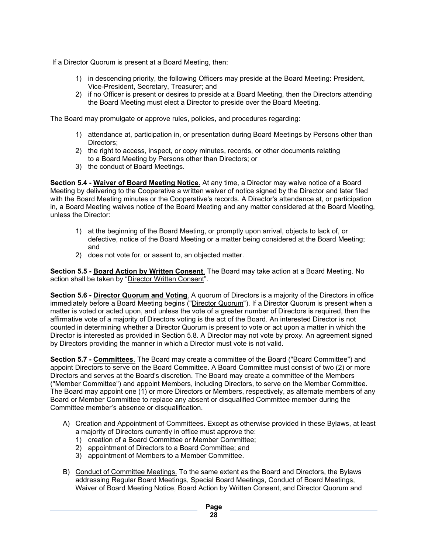If a Director Quorum is present at a Board Meeting, then:

- 1) in descending priority, the following Officers may preside at the Board Meeting: President, Vice-President, Secretary, Treasurer; and
- 2) if no Officer is present or desires to preside at a Board Meeting, then the Directors attending the Board Meeting must elect a Director to preside over the Board Meeting.

The Board may promulgate or approve rules, policies, and procedures regarding:

- 1) attendance at, participation in, or presentation during Board Meetings by Persons other than Directors;
- 2) the right to access, inspect, or copy minutes, records, or other documents relating to a Board Meeting by Persons other than Directors; or
- 3) the conduct of Board Meetings.

**Section 5.4 - Waiver of Board Meeting Notice**. At any time, a Director may waive notice of a Board Meeting by delivering to the Cooperative a written waiver of notice signed by the Director and later filed with the Board Meeting minutes or the Cooperative's records. A Director's attendance at, or participation in, a Board Meeting waives notice of the Board Meeting and any matter considered at the Board Meeting, unless the Director:

- 1) at the beginning of the Board Meeting, or promptly upon arrival, objects to lack of, or defective, notice of the Board Meeting or a matter being considered at the Board Meeting; and
- 2) does not vote for, or assent to, an objected matter.

**Section 5.5 - Board Action by Written Consent**. The Board may take action at a Board Meeting. No action shall be taken by "Director Written Consent".

**Section 5.6 - Director Quorum and Voting**. A quorum of Directors is a majority of the Directors in office immediately before a Board Meeting begins ("Director Quorum"). If a Director Quorum is present when a matter is voted or acted upon, and unless the vote of a greater number of Directors is required, then the affirmative vote of a majority of Directors voting is the act of the Board. An interested Director is not counted in determining whether a Director Quorum is present to vote or act upon a matter in which the Director is interested as provided in Section 5.8. A Director may not vote by proxy. An agreement signed by Directors providing the manner in which a Director must vote is not valid.

**Section 5.7 - Committees**. The Board may create a committee of the Board ("Board Committee") and appoint Directors to serve on the Board Committee. A Board Committee must consist of two (2) or more Directors and serves at the Board's discretion. The Board may create a committee of the Members ("Member Committee") and appoint Members, including Directors, to serve on the Member Committee. The Board may appoint one (1) or more Directors or Members, respectively, as alternate members of any Board or Member Committee to replace any absent or disqualified Committee member during the Committee member's absence or disqualification.

- A) Creation and Appointment of Committees. Except as otherwise provided in these Bylaws, at least a majority of Directors currently in office must approve the:
	- 1) creation of a Board Committee or Member Committee;
	- 2) appointment of Directors to a Board Committee; and
	- 3) appointment of Members to a Member Committee.
- B) Conduct of Committee Meetings. To the same extent as the Board and Directors, the Bylaws addressing Regular Board Meetings, Special Board Meetings, Conduct of Board Meetings, Waiver of Board Meeting Notice, Board Action by Written Consent, and Director Quorum and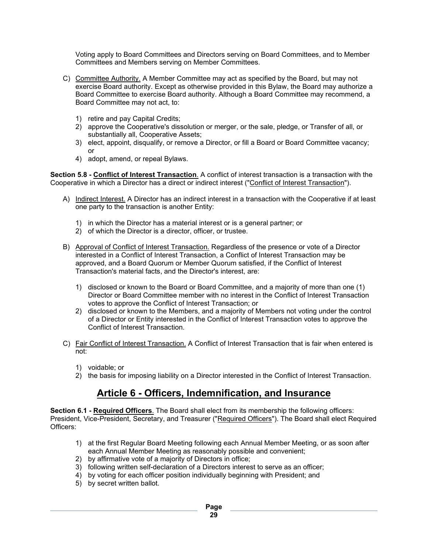Voting apply to Board Committees and Directors serving on Board Committees, and to Member Committees and Members serving on Member Committees.

- C) Committee Authority. A Member Committee may act as specified by the Board, but may not exercise Board authority. Except as otherwise provided in this Bylaw, the Board may authorize a Board Committee to exercise Board authority. Although a Board Committee may recommend, a Board Committee may not act, to:
	- 1) retire and pay Capital Credits;
	- 2) approve the Cooperative's dissolution or merger, or the sale, pledge, or Transfer of all, or substantially all, Cooperative Assets;
	- 3) elect, appoint, disqualify, or remove a Director, or fill a Board or Board Committee vacancy; or
	- 4) adopt, amend, or repeal Bylaws.

**Section 5.8 - Conflict of Interest Transaction**. A conflict of interest transaction is a transaction with the Cooperative in which a Director has a direct or indirect interest ("Conflict of Interest Transaction").

- A) Indirect Interest. A Director has an indirect interest in a transaction with the Cooperative if at least one party to the transaction is another Entity:
	- 1) in which the Director has a material interest or is a general partner; or
	- 2) of which the Director is a director, officer, or trustee.
- B) Approval of Conflict of Interest Transaction. Regardless of the presence or vote of a Director interested in a Conflict of Interest Transaction, a Conflict of Interest Transaction may be approved, and a Board Quorum or Member Quorum satisfied, if the Conflict of Interest Transaction's material facts, and the Director's interest, are:
	- 1) disclosed or known to the Board or Board Committee, and a majority of more than one (1) Director or Board Committee member with no interest in the Conflict of Interest Transaction votes to approve the Conflict of Interest Transaction; or
	- 2) disclosed or known to the Members, and a majority of Members not voting under the control of a Director or Entity interested in the Conflict of Interest Transaction votes to approve the Conflict of Interest Transaction.
- C) Fair Conflict of Interest Transaction. A Conflict of Interest Transaction that is fair when entered is not:
	- 1) voidable; or
	- 2) the basis for imposing liability on a Director interested in the Conflict of Interest Transaction.

# **Article 6 - Officers, Indemnification, and Insurance**

**Section 6.1 - Required Officers**. The Board shall elect from its membership the following officers: President, Vice-President, Secretary, and Treasurer ("Required Officers"). The Board shall elect Required Officers:

- 1) at the first Regular Board Meeting following each Annual Member Meeting, or as soon after each Annual Member Meeting as reasonably possible and convenient;
- 2) by affirmative vote of a majority of Directors in office;
- 3) following written self-declaration of a Directors interest to serve as an officer;
- 4) by voting for each officer position individually beginning with President; and
- 5) by secret written ballot.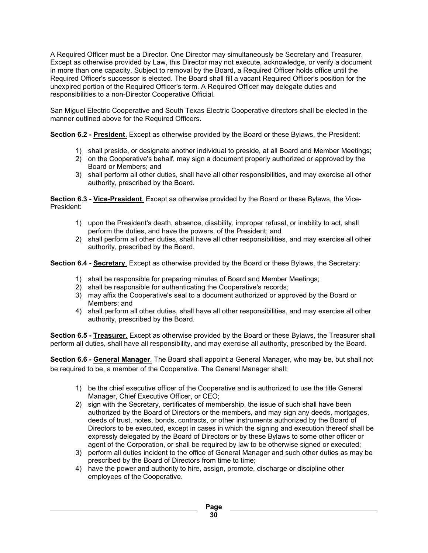A Required Officer must be a Director. One Director may simultaneously be Secretary and Treasurer. Except as otherwise provided by Law, this Director may not execute, acknowledge, or verify a document in more than one capacity. Subject to removal by the Board, a Required Officer holds office until the Required Officer's successor is elected. The Board shall fill a vacant Required Officer's position for the unexpired portion of the Required Officer's term. A Required Officer may delegate duties and responsibilities to a non-Director Cooperative Official.

San Miguel Electric Cooperative and South Texas Electric Cooperative directors shall be elected in the manner outlined above for the Required Officers.

**Section 6.2 - President**. Except as otherwise provided by the Board or these Bylaws, the President:

- 1) shall preside, or designate another individual to preside, at all Board and Member Meetings;
- 2) on the Cooperative's behalf, may sign a document properly authorized or approved by the Board or Members; and
- 3) shall perform all other duties, shall have all other responsibilities, and may exercise all other authority, prescribed by the Board.

**Section 6.3 - Vice-President**. Except as otherwise provided by the Board or these Bylaws, the Vice-President:

- 1) upon the President's death, absence, disability, improper refusal, or inability to act, shall perform the duties, and have the powers, of the President; and
- 2) shall perform all other duties, shall have all other responsibilities, and may exercise all other authority, prescribed by the Board.

**Section 6.4 - Secretary**. Except as otherwise provided by the Board or these Bylaws, the Secretary:

- 1) shall be responsible for preparing minutes of Board and Member Meetings;
- 2) shall be responsible for authenticating the Cooperative's records;
- 3) may affix the Cooperative's seal to a document authorized or approved by the Board or Members; and
- 4) shall perform all other duties, shall have all other responsibilities, and may exercise all other authority, prescribed by the Board.

**Section 6.5 - Treasurer**. Except as otherwise provided by the Board or these Bylaws, the Treasurer shall perform all duties, shall have all responsibility, and may exercise all authority, prescribed by the Board.

**Section 6.6 - General Manager**. The Board shall appoint a General Manager, who may be, but shall not be required to be, a member of the Cooperative. The General Manager shall:

- 1) be the chief executive officer of the Cooperative and is authorized to use the title General Manager, Chief Executive Officer, or CEO;
- 2) sign with the Secretary, certificates of membership, the issue of such shall have been authorized by the Board of Directors or the members, and may sign any deeds, mortgages, deeds of trust, notes, bonds, contracts, or other instruments authorized by the Board of Directors to be executed, except in cases in which the signing and execution thereof shall be expressly delegated by the Board of Directors or by these Bylaws to some other officer or agent of the Corporation, or shall be required by law to be otherwise signed or executed;
- 3) perform all duties incident to the office of General Manager and such other duties as may be prescribed by the Board of Directors from time to time;
- 4) have the power and authority to hire, assign, promote, discharge or discipline other employees of the Cooperative.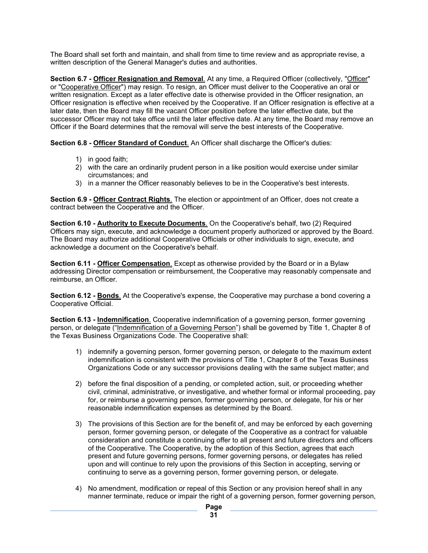The Board shall set forth and maintain, and shall from time to time review and as appropriate revise, a written description of the General Manager's duties and authorities.

**Section 6.7 - Officer Resignation and Removal**. At any time, a Required Officer (collectively, "Officer" or "Cooperative Officer") may resign. To resign, an Officer must deliver to the Cooperative an oral or written resignation. Except as a later effective date is otherwise provided in the Officer resignation, an Officer resignation is effective when received by the Cooperative. If an Officer resignation is effective at a later date, then the Board may fill the vacant Officer position before the later effective date, but the successor Officer may not take office until the later effective date. At any time, the Board may remove an Officer if the Board determines that the removal will serve the best interests of the Cooperative.

**Section 6.8 - Officer Standard of Conduct**. An Officer shall discharge the Officer's duties:

- 1) in good faith;
- 2) with the care an ordinarily prudent person in a like position would exercise under similar circumstances; and
- 3) in a manner the Officer reasonably believes to be in the Cooperative's best interests.

**Section 6.9 - Officer Contract Rights**. The election or appointment of an Officer, does not create a contract between the Cooperative and the Officer.

**Section 6.10 - Authority to Execute Documents**. On the Cooperative's behalf, two (2) Required Officers may sign, execute, and acknowledge a document properly authorized or approved by the Board. The Board may authorize additional Cooperative Officials or other individuals to sign, execute, and acknowledge a document on the Cooperative's behalf.

**Section 6.11 - Officer Compensation**. Except as otherwise provided by the Board or in a Bylaw addressing Director compensation or reimbursement, the Cooperative may reasonably compensate and reimburse, an Officer.

**Section 6.12 - Bonds**. At the Cooperative's expense, the Cooperative may purchase a bond covering a Cooperative Official.

**Section 6.13 - Indemnification**. Cooperative indemnification of a governing person, former governing person, or delegate ("Indemnification of a Governing Person") shall be governed by Title 1, Chapter 8 of the Texas Business Organizations Code. The Cooperative shall:

- 1) indemnify a governing person, former governing person, or delegate to the maximum extent indemnification is consistent with the provisions of Title 1, Chapter 8 of the Texas Business Organizations Code or any successor provisions dealing with the same subject matter; and
- 2) before the final disposition of a pending, or completed action, suit, or proceeding whether civil, criminal, administrative, or investigative, and whether formal or informal proceeding, pay for, or reimburse a governing person, former governing person, or delegate, for his or her reasonable indemnification expenses as determined by the Board.
- 3) The provisions of this Section are for the benefit of, and may be enforced by each governing person, former governing person, or delegate of the Cooperative as a contract for valuable consideration and constitute a continuing offer to all present and future directors and officers of the Cooperative. The Cooperative, by the adoption of this Section, agrees that each present and future governing persons, former governing persons, or delegates has relied upon and will continue to rely upon the provisions of this Section in accepting, serving or continuing to serve as a governing person, former governing person, or delegate.
- 4) No amendment, modification or repeal of this Section or any provision hereof shall in any manner terminate, reduce or impair the right of a governing person, former governing person,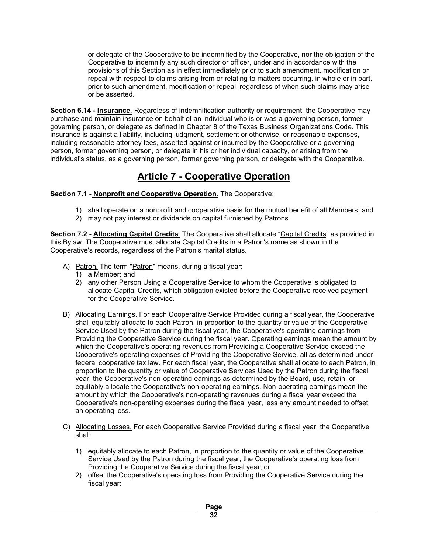or delegate of the Cooperative to be indemnified by the Cooperative, nor the obligation of the Cooperative to indemnify any such director or officer, under and in accordance with the provisions of this Section as in effect immediately prior to such amendment, modification or repeal with respect to claims arising from or relating to matters occurring, in whole or in part, prior to such amendment, modification or repeal, regardless of when such claims may arise or be asserted.

**Section 6.14 - Insurance**. Regardless of indemnification authority or requirement, the Cooperative may purchase and maintain insurance on behalf of an individual who is or was a governing person, former governing person, or delegate as defined in Chapter 8 of the Texas Business Organizations Code. This insurance is against a liability, including judgment, settlement or otherwise, or reasonable expenses, including reasonable attorney fees, asserted against or incurred by the Cooperative or a governing person, former governing person, or delegate in his or her individual capacity, or arising from the individual's status, as a governing person, former governing person, or delegate with the Cooperative.

# **Article 7 - Cooperative Operation**

**Section 7.1 - Nonprofit and Cooperative Operation**. The Cooperative:

- 1) shall operate on a nonprofit and cooperative basis for the mutual benefit of all Members; and
- 2) may not pay interest or dividends on capital furnished by Patrons.

**Section 7.2 - Allocating Capital Credits**. The Cooperative shall allocate "Capital Credits" as provided in this Bylaw. The Cooperative must allocate Capital Credits in a Patron's name as shown in the Cooperative's records, regardless of the Patron's marital status.

- A) Patron. The term "Patron" means, during a fiscal year:
	- 1) a Member; and
	- 2) any other Person Using a Cooperative Service to whom the Cooperative is obligated to allocate Capital Credits, which obligation existed before the Cooperative received payment for the Cooperative Service.
- B) Allocating Earnings. For each Cooperative Service Provided during a fiscal year, the Cooperative shall equitably allocate to each Patron, in proportion to the quantity or value of the Cooperative Service Used by the Patron during the fiscal year, the Cooperative's operating earnings from Providing the Cooperative Service during the fiscal year. Operating earnings mean the amount by which the Cooperative's operating revenues from Providing a Cooperative Service exceed the Cooperative's operating expenses of Providing the Cooperative Service, all as determined under federal cooperative tax law. For each fiscal year, the Cooperative shall allocate to each Patron, in proportion to the quantity or value of Cooperative Services Used by the Patron during the fiscal year, the Cooperative's non-operating earnings as determined by the Board, use, retain, or equitably allocate the Cooperative's non-operating earnings. Non-operating earnings mean the amount by which the Cooperative's non-operating revenues during a fiscal year exceed the Cooperative's non-operating expenses during the fiscal year, less any amount needed to offset an operating loss.
- C) Allocating Losses. For each Cooperative Service Provided during a fiscal year, the Cooperative shall:
	- 1) equitably allocate to each Patron, in proportion to the quantity or value of the Cooperative Service Used by the Patron during the fiscal year, the Cooperative's operating loss from Providing the Cooperative Service during the fiscal year; or
	- 2) offset the Cooperative's operating loss from Providing the Cooperative Service during the fiscal year: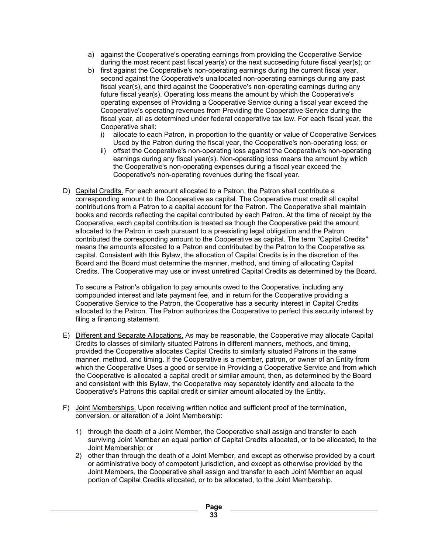- a) against the Cooperative's operating earnings from providing the Cooperative Service during the most recent past fiscal year(s) or the next succeeding future fiscal year(s); or
- b) first against the Cooperative's non-operating earnings during the current fiscal year, second against the Cooperative's unallocated non-operating earnings during any past fiscal year(s), and third against the Cooperative's non-operating earnings during any future fiscal year(s). Operating loss means the amount by which the Cooperative's operating expenses of Providing a Cooperative Service during a fiscal year exceed the Cooperative's operating revenues from Providing the Cooperative Service during the fiscal year, all as determined under federal cooperative tax law. For each fiscal year, the Cooperative shall:
	- i) allocate to each Patron, in proportion to the quantity or value of Cooperative Services Used by the Patron during the fiscal year, the Cooperative's non-operating loss; or
	- ii) offset the Cooperative's non-operating loss against the Cooperative's non-operating earnings during any fiscal year(s). Non-operating loss means the amount by which the Cooperative's non-operating expenses during a fiscal year exceed the Cooperative's non-operating revenues during the fiscal year.
- D) Capital Credits. For each amount allocated to a Patron, the Patron shall contribute a corresponding amount to the Cooperative as capital. The Cooperative must credit all capital contributions from a Patron to a capital account for the Patron. The Cooperative shall maintain books and records reflecting the capital contributed by each Patron. At the time of receipt by the Cooperative, each capital contribution is treated as though the Cooperative paid the amount allocated to the Patron in cash pursuant to a preexisting legal obligation and the Patron contributed the corresponding amount to the Cooperative as capital. The term "Capital Credits" means the amounts allocated to a Patron and contributed by the Patron to the Cooperative as capital. Consistent with this Bylaw, the allocation of Capital Credits is in the discretion of the Board and the Board must determine the manner, method, and timing of allocating Capital Credits. The Cooperative may use or invest unretired Capital Credits as determined by the Board.

To secure a Patron's obligation to pay amounts owed to the Cooperative, including any compounded interest and late payment fee, and in return for the Cooperative providing a Cooperative Service to the Patron, the Cooperative has a security interest in Capital Credits allocated to the Patron. The Patron authorizes the Cooperative to perfect this security interest by filing a financing statement.

- E) Different and Separate Allocations. As may be reasonable, the Cooperative may allocate Capital Credits to classes of similarly situated Patrons in different manners, methods, and timing, provided the Cooperative allocates Capital Credits to similarly situated Patrons in the same manner, method, and timing. If the Cooperative is a member, patron, or owner of an Entity from which the Cooperative Uses a good or service in Providing a Cooperative Service and from which the Cooperative is allocated a capital credit or similar amount, then, as determined by the Board and consistent with this Bylaw, the Cooperative may separately identify and allocate to the Cooperative's Patrons this capital credit or similar amount allocated by the Entity.
- F) Joint Memberships. Upon receiving written notice and sufficient proof of the termination, conversion, or alteration of a Joint Membership:
	- 1) through the death of a Joint Member, the Cooperative shall assign and transfer to each surviving Joint Member an equal portion of Capital Credits allocated, or to be allocated, to the Joint Membership; or
	- 2) other than through the death of a Joint Member, and except as otherwise provided by a court or administrative body of competent jurisdiction, and except as otherwise provided by the Joint Members, the Cooperative shall assign and transfer to each Joint Member an equal portion of Capital Credits allocated, or to be allocated, to the Joint Membership.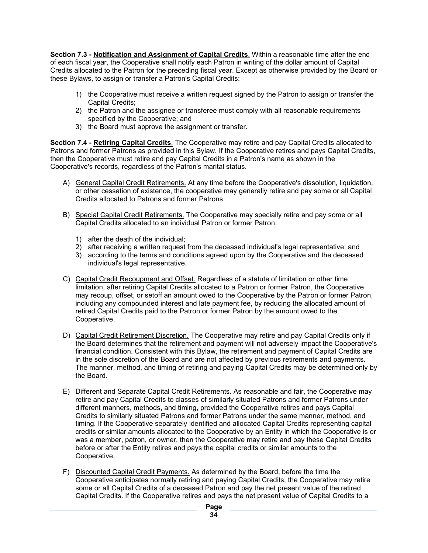**Section 7.3 - Notification and Assignment of Capital Credits**. Within a reasonable time after the end of each fiscal year, the Cooperative shall notify each Patron in writing of the dollar amount of Capital Credits allocated to the Patron for the preceding fiscal year. Except as otherwise provided by the Board or these Bylaws, to assign or transfer a Patron's Capital Credits:

- 1) the Cooperative must receive a written request signed by the Patron to assign or transfer the Capital Credits;
- 2) the Patron and the assignee or transferee must comply with all reasonable requirements specified by the Cooperative; and
- 3) the Board must approve the assignment or transfer.

**Section 7.4 - Retiring Capital Credits**. The Cooperative may retire and pay Capital Credits allocated to Patrons and former Patrons as provided in this Bylaw. If the Cooperative retires and pays Capital Credits, then the Cooperative must retire and pay Capital Credits in a Patron's name as shown in the Cooperative's records, regardless of the Patron's marital status.

- A) General Capital Credit Retirements. At any time before the Cooperative's dissolution, liquidation, or other cessation of existence, the cooperative may generally retire and pay some or all Capital Credits allocated to Patrons and former Patrons.
- B) Special Capital Credit Retirements. The Cooperative may specially retire and pay some or all Capital Credits allocated to an individual Patron or former Patron:
	- 1) after the death of the individual;
	- 2) after receiving a written request from the deceased individual's legal representative; and
	- 3) according to the terms and conditions agreed upon by the Cooperative and the deceased individual's legal representative.
- C) Capital Credit Recoupment and Offset. Regardless of a statute of limitation or other time limitation, after retiring Capital Credits allocated to a Patron or former Patron, the Cooperative may recoup, offset, or setoff an amount owed to the Cooperative by the Patron or former Patron, including any compounded interest and late payment fee, by reducing the allocated amount of retired Capital Credits paid to the Patron or former Patron by the amount owed to the Cooperative.
- D) Capital Credit Retirement Discretion. The Cooperative may retire and pay Capital Credits only if the Board determines that the retirement and payment will not adversely impact the Cooperative's financial condition. Consistent with this Bylaw, the retirement and payment of Capital Credits are in the sole discretion of the Board and are not affected by previous retirements and payments. The manner, method, and timing of retiring and paying Capital Credits may be determined only by the Board.
- E) Different and Separate Capital Credit Retirements. As reasonable and fair, the Cooperative may retire and pay Capital Credits to classes of similarly situated Patrons and former Patrons under different manners, methods, and timing, provided the Cooperative retires and pays Capital Credits to similarly situated Patrons and former Patrons under the same manner, method, and timing. If the Cooperative separately identified and allocated Capital Credits representing capital credits or similar amounts allocated to the Cooperative by an Entity in which the Cooperative is or was a member, patron, or owner, then the Cooperative may retire and pay these Capital Credits before or after the Entity retires and pays the capital credits or similar amounts to the Cooperative.
- F) Discounted Capital Credit Payments. As determined by the Board, before the time the Cooperative anticipates normally retiring and paying Capital Credits, the Cooperative may retire some or all Capital Credits of a deceased Patron and pay the net present value of the retired Capital Credits. If the Cooperative retires and pays the net present value of Capital Credits to a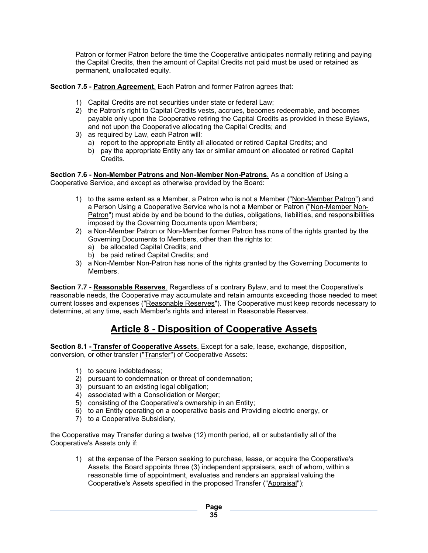Patron or former Patron before the time the Cooperative anticipates normally retiring and paying the Capital Credits, then the amount of Capital Credits not paid must be used or retained as permanent, unallocated equity.

**Section 7.5 - Patron Agreement**. Each Patron and former Patron agrees that:

- 1) Capital Credits are not securities under state or federal Law;
- 2) the Patron's right to Capital Credits vests, accrues, becomes redeemable, and becomes payable only upon the Cooperative retiring the Capital Credits as provided in these Bylaws, and not upon the Cooperative allocating the Capital Credits; and
- 3) as required by Law, each Patron will:
	- a) report to the appropriate Entity all allocated or retired Capital Credits; and
	- b) pay the appropriate Entity any tax or similar amount on allocated or retired Capital Credits.

**Section 7.6 - Non-Member Patrons and Non-Member Non-Patrons**. As a condition of Using a Cooperative Service, and except as otherwise provided by the Board:

- 1) to the same extent as a Member, a Patron who is not a Member ("Non-Member Patron") and a Person Using a Cooperative Service who is not a Member or Patron ("Non-Member Non-Patron") must abide by and be bound to the duties, obligations, liabilities, and responsibilities imposed by the Governing Documents upon Members;
- 2) a Non-Member Patron or Non-Member former Patron has none of the rights granted by the Governing Documents to Members, other than the rights to:
	- a) be allocated Capital Credits; and
	- b) be paid retired Capital Credits; and
- 3) a Non-Member Non-Patron has none of the rights granted by the Governing Documents to Members.

**Section 7.7 - Reasonable Reserves**. Regardless of a contrary Bylaw, and to meet the Cooperative's reasonable needs, the Cooperative may accumulate and retain amounts exceeding those needed to meet current losses and expenses ("Reasonable Reserves"). The Cooperative must keep records necessary to determine, at any time, each Member's rights and interest in Reasonable Reserves.

### **Article 8 - Disposition of Cooperative Assets**

**Section 8.1 - Transfer of Cooperative Assets**. Except for a sale, lease, exchange, disposition, conversion, or other transfer ("Transfer") of Cooperative Assets:

- 1) to secure indebtedness;
- 2) pursuant to condemnation or threat of condemnation;
- 3) pursuant to an existing legal obligation;
- 4) associated with a Consolidation or Merger;
- 5) consisting of the Cooperative's ownership in an Entity;
- 6) to an Entity operating on a cooperative basis and Providing electric energy, or
- 7) to a Cooperative Subsidiary,

the Cooperative may Transfer during a twelve (12) month period, all or substantially all of the Cooperative's Assets only if:

1) at the expense of the Person seeking to purchase, lease, or acquire the Cooperative's Assets, the Board appoints three (3) independent appraisers, each of whom, within a reasonable time of appointment, evaluates and renders an appraisal valuing the Cooperative's Assets specified in the proposed Transfer ("Appraisal'');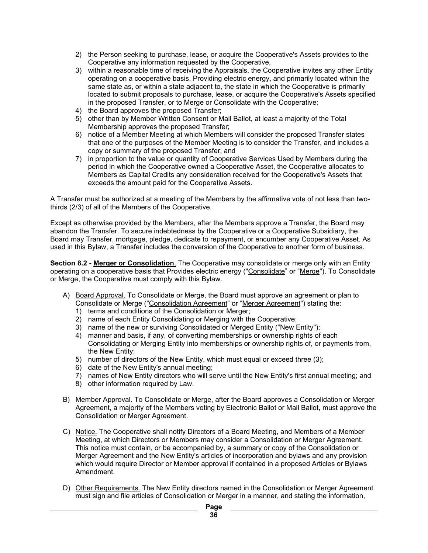- 2) the Person seeking to purchase, lease, or acquire the Cooperative's Assets provides to the Cooperative any information requested by the Cooperative,
- 3) within a reasonable time of receiving the Appraisals, the Cooperative invites any other Entity operating on a cooperative basis, Providing electric energy, and primarily located within the same state as, or within a state adjacent to, the state in which the Cooperative is primarily located to submit proposals to purchase, lease, or acquire the Cooperative's Assets specified in the proposed Transfer, or to Merge or Consolidate with the Cooperative;
- 4) the Board approves the proposed Transfer;
- 5) other than by Member Written Consent or Mail Ballot, at least a majority of the Total Membership approves the proposed Transfer;
- 6) notice of a Member Meeting at which Members will consider the proposed Transfer states that one of the purposes of the Member Meeting is to consider the Transfer, and includes a copy or summary of the proposed Transfer; and
- 7) in proportion to the value or quantity of Cooperative Services Used by Members during the period in which the Cooperative owned a Cooperative Asset, the Cooperative allocates to Members as Capital Credits any consideration received for the Cooperative's Assets that exceeds the amount paid for the Cooperative Assets.

A Transfer must be authorized at a meeting of the Members by the affirmative vote of not less than twothirds (2/3) of all of the Members of the Cooperative.

Except as otherwise provided by the Members, after the Members approve a Transfer, the Board may abandon the Transfer. To secure indebtedness by the Cooperative or a Cooperative Subsidiary, the Board may Transfer, mortgage, pledge, dedicate to repayment, or encumber any Cooperative Asset. As used in this Bylaw, a Transfer includes the conversion of the Cooperative to another form of business.

**Section 8.2 - Merger or Consolidation**. The Cooperative may consolidate or merge only with an Entity operating on a cooperative basis that Provides electric energy ("Consolidate" or "Merge"). To Consolidate or Merge, the Cooperative must comply with this Bylaw.

- A) Board Approval. To Consolidate or Merge, the Board must approve an agreement or plan to Consolidate or Merge ("Consolidation Agreement" or "Merger Agreement") stating the:
	- 1) terms and conditions of the Consolidation or Merger;
	- 2) name of each Entity Consolidating or Merging with the Cooperative;
	- 3) name of the new or surviving Consolidated or Merged Entity ("New Entity");
	- 4) manner and basis, if any, of converting memberships or ownership rights of each Consolidating or Merging Entity into memberships or ownership rights of, or payments from, the New Entity;
	- 5) number of directors of the New Entity, which must equal or exceed three (3);
	- 6) date of the New Entity's annual meeting;
	- 7) names of New Entity directors who will serve until the New Entity's first annual meeting; and
	- 8) other information required by Law.
- B) Member Approval. To Consolidate or Merge, after the Board approves a Consolidation or Merger Agreement, a majority of the Members voting by Electronic Ballot or Mail Ballot, must approve the Consolidation or Merger Agreement.
- C) Notice. The Cooperative shall notify Directors of a Board Meeting, and Members of a Member Meeting, at which Directors or Members may consider a Consolidation or Merger Agreement. This notice must contain, or be accompanied by, a summary or copy of the Consolidation or Merger Agreement and the New Entity's articles of incorporation and bylaws and any provision which would require Director or Member approval if contained in a proposed Articles or Bylaws Amendment.
- D) Other Requirements. The New Entity directors named in the Consolidation or Merger Agreement must sign and file articles of Consolidation or Merger in a manner, and stating the information,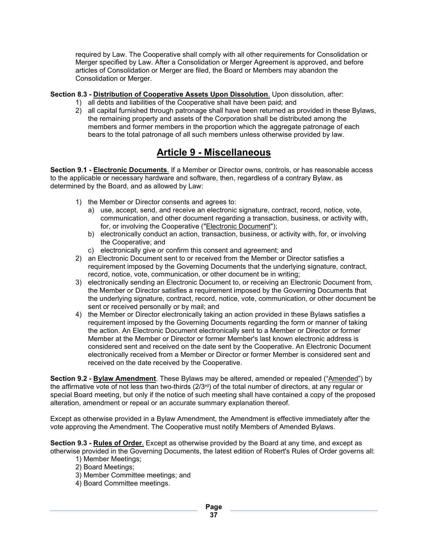required by Law. The Cooperative shall comply with all other requirements for Consolidation or Merger specified by Law. After a Consolidation or Merger Agreement is approved, and before articles of Consolidation or Merger are filed, the Board or Members may abandon the Consolidation or Merger.

#### **Section 8.3 - Distribution of Cooperative Assets Upon Dissolution**. Upon dissolution, after:

- 1) all debts and liabilities of the Cooperative shall have been paid; and
- 2) all capital furnished through patronage shall have been returned as provided in these Bylaws, the remaining property and assets of the Corporation shall be distributed among the members and former members in the proportion which the aggregate patronage of each bears to the total patronage of all such members unless otherwise provided by law.

# **Article 9 - Miscellaneous**

**Section 9.1 - Electronic Documents**. If a Member or Director owns, controls, or has reasonable access to the applicable or necessary hardware and software, then, regardless of a contrary Bylaw, as determined by the Board, and as allowed by Law:

- 1) the Member or Director consents and agrees to:
	- a) use, accept, send, and receive an electronic signature, contract, record, notice, vote, communication, and other document regarding a transaction, business, or activity with, for, or involving the Cooperative ("Electronic Document");
	- b) electronically conduct an action, transaction, business, or activity with, for, or involving the Cooperative; and
	- c) electronically give or confirm this consent and agreement; and
- 2) an Electronic Document sent to or received from the Member or Director satisfies a requirement imposed by the Governing Documents that the underlying signature, contract, record, notice, vote, communication, or other document be in writing;
- 3) electronically sending an Electronic Document to, or receiving an Electronic Document from, the Member or Director satisfies a requirement imposed by the Governing Documents that the underlying signature, contract, record, notice, vote, communication, or other document be sent or received personally or by mail; and
- 4) the Member or Director electronically taking an action provided in these Bylaws satisfies a requirement imposed by the Governing Documents regarding the form or manner of taking the action. An Electronic Document electronically sent to a Member or Director or former Member at the Member or Director or former Member's last known electronic address is considered sent and received on the date sent by the Cooperative. An Electronic Document electronically received from a Member or Director or former Member is considered sent and received on the date received by the Cooperative.

**Section 9.2 - Bylaw Amendment**. These Bylaws may be altered, amended or repealed ("Amended") by the affirmative vote of not less than two-thirds (2/3<sup>rd</sup>) of the total number of directors, at any regular or special Board meeting, but only if the notice of such meeting shall have contained a copy of the proposed alteration, amendment or repeal or an accurate summary explanation thereof.

Except as otherwise provided in a Bylaw Amendment, the Amendment is effective immediately after the vote approving the Amendment. The Cooperative must notify Members of Amended Bylaws.

**Section 9.3 - Rules of Order**. Except as otherwise provided by the Board at any time, and except as otherwise provided in the Governing Documents, the latest edition of Robert's Rules of Order governs all:

- 1) Member Meetings;
- 2) Board Meetings;
- 3) Member Committee meetings; and
- 4) Board Committee meetings.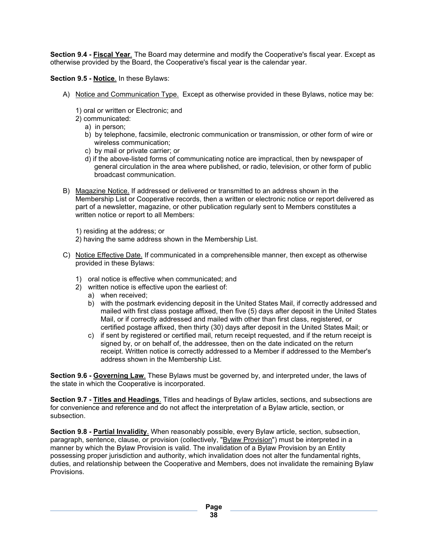**Section 9.4 - Fiscal Year**. The Board may determine and modify the Cooperative's fiscal year. Except as otherwise provided by the Board, the Cooperative's fiscal year is the calendar year.

**Section 9.5 - Notice**. In these Bylaws:

- A) Notice and Communication Type. Except as otherwise provided in these Bylaws, notice may be:
	- 1) oral or written or Electronic; and
	- 2) communicated:
		- a) in person;
		- b) by telephone, facsimile, electronic communication or transmission, or other form of wire or wireless communication;
		- c) by mail or private carrier; or
		- d) if the above-listed forms of communicating notice are impractical, then by newspaper of general circulation in the area where published, or radio, television, or other form of public broadcast communication.
- B) Magazine Notice. If addressed or delivered or transmitted to an address shown in the Membership List or Cooperative records, then a written or electronic notice or report delivered as part of a newsletter, magazine, or other publication regularly sent to Members constitutes a written notice or report to all Members:

1) residing at the address; or

- 2) having the same address shown in the Membership List.
- C) Notice Effective Date. If communicated in a comprehensible manner, then except as otherwise provided in these Bylaws:
	- 1) oral notice is effective when communicated; and
	- 2) written notice is effective upon the earliest of:
		- a) when received;
		- b) with the postmark evidencing deposit in the United States Mail, if correctly addressed and mailed with first class postage affixed, then five (5) days after deposit in the United States Mail, or if correctly addressed and mailed with other than first class, registered, or certified postage affixed, then thirty (30) days after deposit in the United States Mail; or
		- c) if sent by registered or certified mail, return receipt requested, and if the return receipt is signed by, or on behalf of, the addressee, then on the date indicated on the return receipt. Written notice is correctly addressed to a Member if addressed to the Member's address shown in the Membership List.

**Section 9.6 - Governing Law**. These Bylaws must be governed by, and interpreted under, the laws of the state in which the Cooperative is incorporated.

**Section 9.7 - Titles and Headings**. Titles and headings of Bylaw articles, sections, and subsections are for convenience and reference and do not affect the interpretation of a Bylaw article, section, or subsection.

**Section 9.8 - Partial Invalidity**. When reasonably possible, every Bylaw article, section, subsection, paragraph, sentence, clause, or provision (collectively, "Bylaw Provision") must be interpreted in a manner by which the Bylaw Provision is valid. The invalidation of a Bylaw Provision by an Entity possessing proper jurisdiction and authority, which invalidation does not alter the fundamental rights, duties, and relationship between the Cooperative and Members, does not invalidate the remaining Bylaw Provisions.